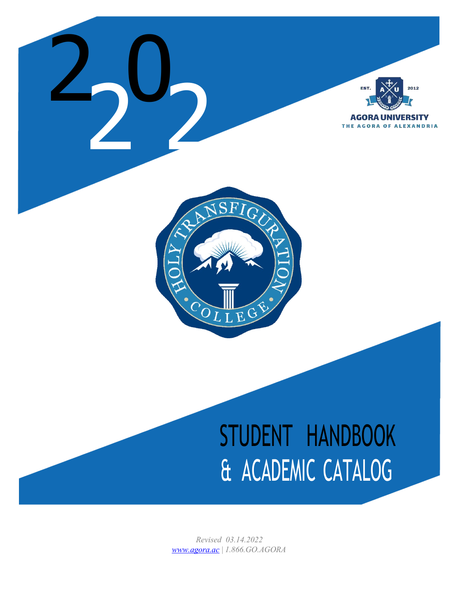

# STUDENT HANDBOOK & ACADEMIC CATALOG

*Revised 03.14.2022 [www.agora.ac](http://www.agora.ac/) | 1.866.GO.AGORA*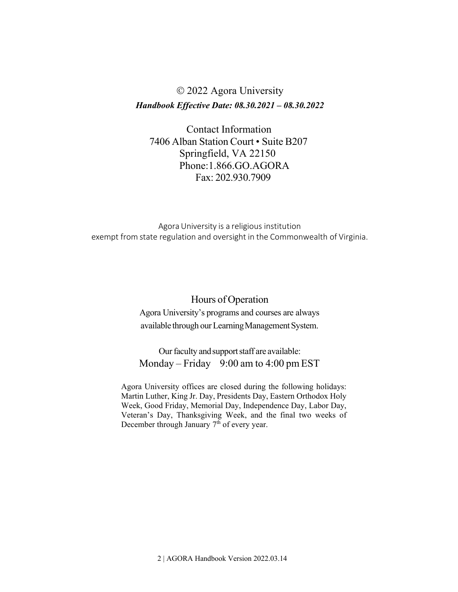# 2022 Agora University *Handbook Effective Date: 08.30.2021 – 08.30.2022*

Contact Information 7406 Alban Station Court • Suite B207 Springfield, VA 22150 Phone:1.866.GO.AGORA Fax: 202.930.7909

Agora University is a religious institution exempt from state regulation and oversight in the Commonwealth of Virginia.

#### Hours of Operation

Agora University's programs and courses are always available through our Learning Management System.

Our faculty and support staff are available: Monday – Friday 9:00 am to 4:00 pm EST

Agora University offices are closed during the following holidays: Martin Luther, King Jr. Day, Presidents Day, Eastern Orthodox Holy Week, Good Friday, Memorial Day, Independence Day, Labor Day, Veteran's Day, Thanksgiving Week, and the final two weeks of December through January 7<sup>th</sup> of every year.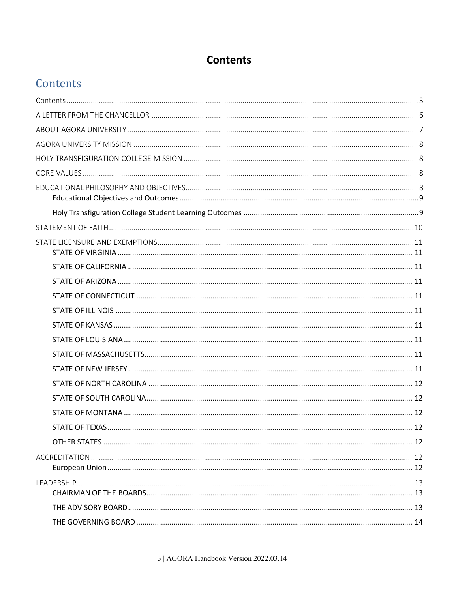# **Contents**

# <span id="page-2-0"></span>Contents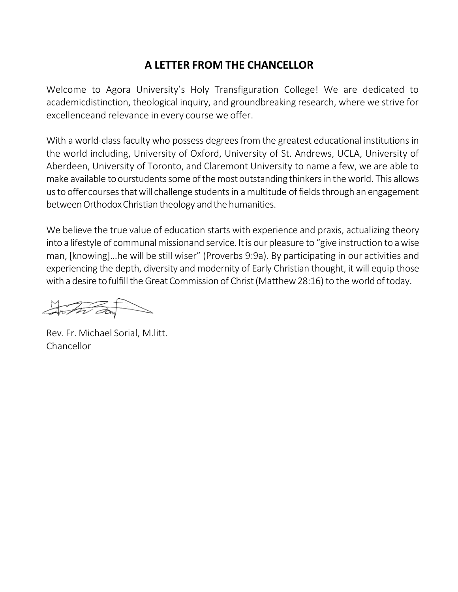# **A LETTER FROM THE CHANCELLOR**

<span id="page-5-0"></span>Welcome to Agora University's Holy Transfiguration College! We are dedicated to academicdistinction, theological inquiry, and groundbreaking research, where we strive for excellenceand relevance in every course we offer.

With a world-class faculty who possess degrees from the greatest educational institutions in the world including, University of Oxford, University of St. Andrews, UCLA, University of Aberdeen, University of Toronto, and Claremont University to name a few, we are able to make available to ourstudents some of the most outstanding thinkers in the world. This allows us to offer courses that will challenge students in a multitude of fields through an engagement between Orthodox Christian theology and the humanities.

We believe the true value of education starts with experience and praxis, actualizing theory into a lifestyle of communal missionand service. It is our pleasure to "give instruction to a wise man, [knowing]…he will be still wiser" (Proverbs 9:9a). By participating in our activities and experiencing the depth, diversity and modernity of Early Christian thought, it will equip those with a desire to fulfill the Great Commission of Christ (Matthew 28:16) to the world of today.

Anton dans

Rev. Fr. Michael Sorial, M.litt. Chancellor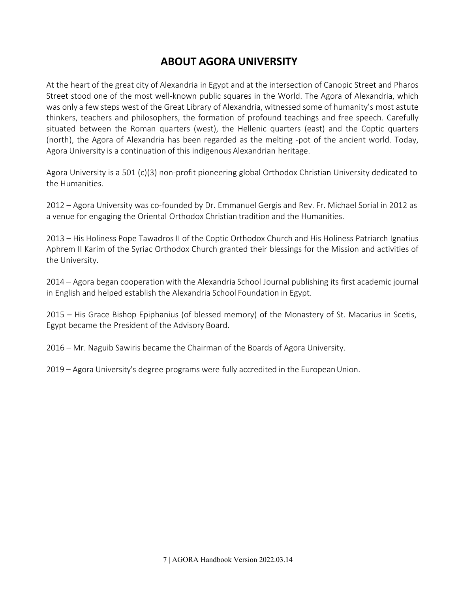# **ABOUT AGORA UNIVERSITY**

<span id="page-6-0"></span>At the heart of the great city of Alexandria in Egypt and at the intersection of Canopic Street and Pharos Street stood one of the most well-known public squares in the World. The Agora of Alexandria, which was only a few steps west of the Great Library of Alexandria, witnessed some of humanity's most astute thinkers, teachers and philosophers, the formation of profound teachings and free speech. Carefully situated between the Roman quarters (west), the Hellenic quarters (east) and the Coptic quarters (north), the Agora of Alexandria has been regarded as the melting -pot of the ancient world. Today, Agora University is a continuation of this indigenous Alexandrian heritage.

Agora University is a 501 (c)(3) non-profit pioneering global Orthodox Christian University dedicated to the Humanities.

2012 – Agora University was co-founded by Dr. Emmanuel Gergis and Rev. Fr. Michael Sorial in 2012 as a venue for engaging the Oriental Orthodox Christian tradition and the Humanities.

2013 – His Holiness Pope Tawadros II of the Coptic Orthodox Church and His Holiness Patriarch Ignatius Aphrem II Karim of the Syriac Orthodox Church granted their blessings for the Mission and activities of the University.

2014 – Agora began cooperation with the Alexandria School Journal publishing its first academic journal in English and helped establish the Alexandria School Foundation in Egypt.

2015 – His Grace Bishop Epiphanius (of blessed memory) of the Monastery of St. Macarius in Scetis, Egypt became the President of the Advisory Board.

2016 – Mr. Naguib Sawiris became the Chairman of the Boards of Agora University.

2019 – Agora University's degree programs were fully accredited in the European Union.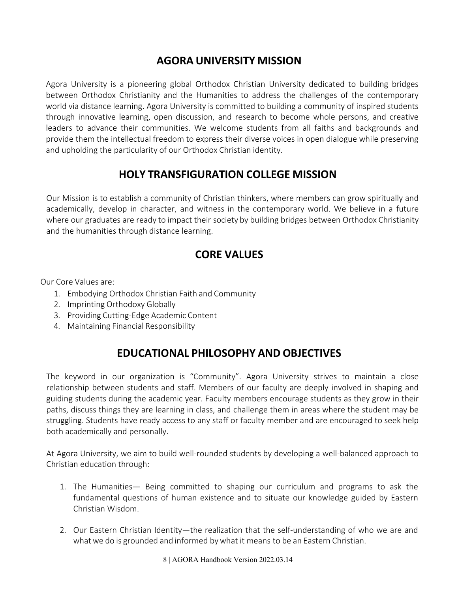# **AGORA UNIVERSITY MISSION**

<span id="page-7-0"></span>Agora University is a pioneering global Orthodox Christian University dedicated to building bridges between Orthodox Christianity and the Humanities to address the challenges of the contemporary world via distance learning. Agora University is committed to building a community of inspired students through innovative learning, open discussion, and research to become whole persons, and creative leaders to advance their communities. We welcome students from all faiths and backgrounds and provide them the intellectual freedom to express their diverse voices in open dialogue while preserving and upholding the particularity of our Orthodox Christian identity.

# **HOLY TRANSFIGURATION COLLEGE MISSION**

<span id="page-7-1"></span>Our Mission is to establish a community of Christian thinkers, where members can grow spiritually and academically, develop in character, and witness in the contemporary world. We believe in a future where our graduates are ready to impact their society by building bridges between Orthodox Christianity and the humanities through distance learning.

# **CORE VALUES**

<span id="page-7-2"></span>Our Core Values are:

- 1. Embodying Orthodox Christian Faith and Community
- 2. Imprinting Orthodoxy Globally
- 3. Providing Cutting-Edge Academic Content
- 4. Maintaining Financial Responsibility

# **EDUCATIONAL PHILOSOPHY AND OBJECTIVES**

<span id="page-7-3"></span>The keyword in our organization is "Community". Agora University strives to maintain a close relationship between students and staff. Members of our faculty are deeply involved in shaping and guiding students during the academic year. Faculty members encourage students as they grow in their paths, discuss things they are learning in class, and challenge them in areas where the student may be struggling. Students have ready access to any staff or faculty member and are encouraged to seek help both academically and personally.

At Agora University, we aim to build well-rounded students by developing a well-balanced approach to Christian education through:

- 1. The Humanities— Being committed to shaping our curriculum and programs to ask the fundamental questions of human existence and to situate our knowledge guided by Eastern Christian Wisdom.
- 2. Our Eastern Christian Identity—the realization that the self-understanding of who we are and what we do is grounded and informed by what it means to be an Eastern Christian.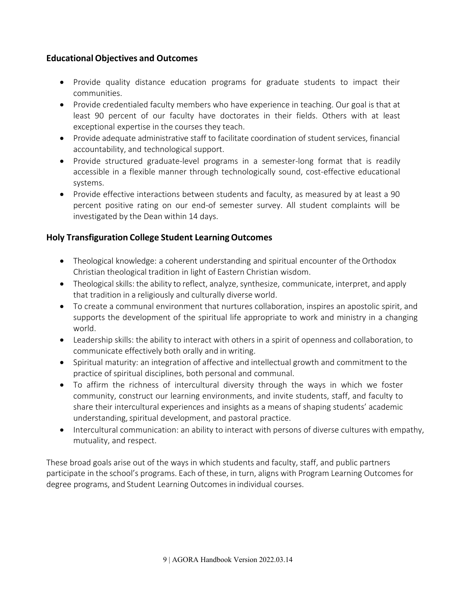#### <span id="page-8-0"></span>**Educational Objectives and Outcomes**

- Provide quality distance education programs for graduate students to impact their communities.
- Provide credentialed faculty members who have experience in teaching. Our goal is that at least 90 percent of our faculty have doctorates in their fields. Others with at least exceptional expertise in the courses they teach.
- Provide adequate administrative staff to facilitate coordination of student services, financial accountability, and technological support.
- Provide structured graduate-level programs in a semester-long format that is readily accessible in a flexible manner through technologically sound, cost-effective educational systems.
- Provide effective interactions between students and faculty, as measured by at least a 90 percent positive rating on our end-of semester survey. All student complaints will be investigated by the Dean within 14 days.

#### <span id="page-8-1"></span>**Holy Transfiguration College Student LearningOutcomes**

- Theological knowledge: a coherent understanding and spiritual encounter of the Orthodox Christian theological tradition in light of Eastern Christian wisdom.
- Theological skills: the ability to reflect, analyze, synthesize, communicate, interpret, and apply that tradition in a religiously and culturally diverse world.
- To create a communal environment that nurtures collaboration, inspires an apostolic spirit, and supports the development of the spiritual life appropriate to work and ministry in a changing world.
- Leadership skills: the ability to interact with others in a spirit of openness and collaboration, to communicate effectively both orally and in writing.
- Spiritual maturity: an integration of affective and intellectual growth and commitment to the practice of spiritual disciplines, both personal and communal.
- To affirm the richness of intercultural diversity through the ways in which we foster community, construct our learning environments, and invite students, staff, and faculty to share their intercultural experiences and insights as a means of shaping students' academic understanding,spiritual development, and pastoral practice.
- Intercultural communication: an ability to interact with persons of diverse cultures with empathy, mutuality, and respect.

These broad goals arise out of the ways in which students and faculty, staff, and public partners participate in the school's programs. Each of these, in turn, aligns with Program Learning Outcomes for degree programs, and Student Learning Outcomes in individual courses.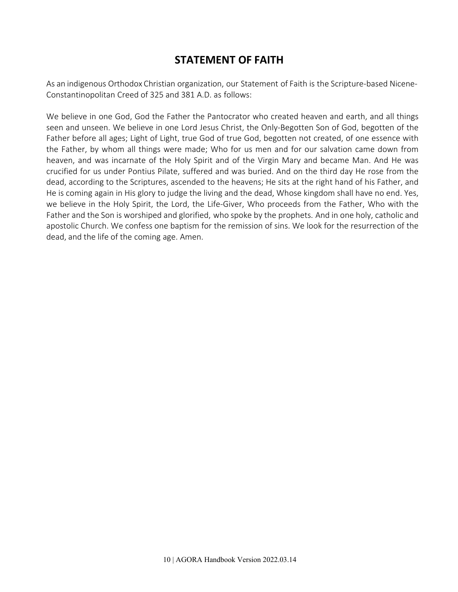# **STATEMENT OF FAITH**

<span id="page-9-0"></span>As an indigenous Orthodox Christian organization, our Statement of Faith is the Scripture-based Nicene-Constantinopolitan Creed of 325 and 381 A.D. as follows:

We believe in one God, God the Father the Pantocrator who created heaven and earth, and all things seen and unseen. We believe in one Lord Jesus Christ, the Only-Begotten Son of God, begotten of the Father before all ages; Light of Light, true God of true God, begotten not created, of one essence with the Father, by whom all things were made; Who for us men and for our salvation came down from heaven, and was incarnate of the Holy Spirit and of the Virgin Mary and became Man. And He was crucified for us under Pontius Pilate, suffered and was buried. And on the third day He rose from the dead, according to the Scriptures, ascended to the heavens; He sits at the right hand of his Father, and He is coming again in His glory to judge the living and the dead, Whose kingdom shall have no end. Yes, we believe in the Holy Spirit, the Lord, the Life-Giver, Who proceeds from the Father, Who with the Father and the Son is worshiped and glorified, who spoke by the prophets. And in one holy, catholic and apostolic Church. We confess one baptism for the remission of sins. We look for the resurrection of the dead, and the life of the coming age. Amen.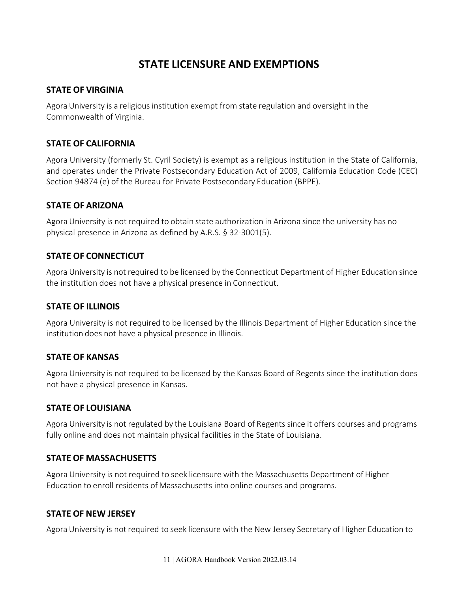# **STATE LICENSURE AND EXEMPTIONS**

#### <span id="page-10-1"></span><span id="page-10-0"></span>**STATE OF VIRGINIA**

Agora University is a religious institution exempt from state regulation and oversight in the Commonwealth of Virginia.

#### <span id="page-10-9"></span>**STATE OF CALIFORNIA**

Agora University (formerly St. Cyril Society) is exempt as a religious institution in the State of California, and operates under the Private Postsecondary Education Act of 2009, California Education Code (CEC) Section 94874 (e) of the Bureau for Private Postsecondary Education (BPPE).

#### <span id="page-10-2"></span>**STATE OF ARIZONA**

Agora University is not required to obtain state authorization in Arizona since the university has no physical presence in Arizona as defined by A.R.S. § 32-3001(5).

#### <span id="page-10-3"></span>**STATE OF CONNECTICUT**

Agora University is not required to be licensed by the Connecticut Department of Higher Education since the institution does not have a physical presence in Connecticut.

#### <span id="page-10-4"></span>**STATE OF ILLINOIS**

Agora University is not required to be licensed by the Illinois Department of Higher Education since the institution does not have a physical presence in Illinois.

#### <span id="page-10-5"></span>**STATE OF KANSAS**

Agora University is not required to be licensed by the Kansas Board of Regents since the institution does not have a physical presence in Kansas.

#### <span id="page-10-6"></span>**STATE OF LOUISIANA**

Agora University is not regulated by the Louisiana Board of Regents since it offers courses and programs fully online and does not maintain physical facilities in the State of Louisiana.

#### <span id="page-10-7"></span>**STATE OF MASSACHUSETTS**

Agora University is not required to seek licensure with the Massachusetts Department of Higher Education to enroll residents of Massachusetts into online courses and programs.

#### <span id="page-10-8"></span>**STATE OF NEW JERSEY**

Agora University is not required to seek licensure with the New Jersey Secretary of Higher Education to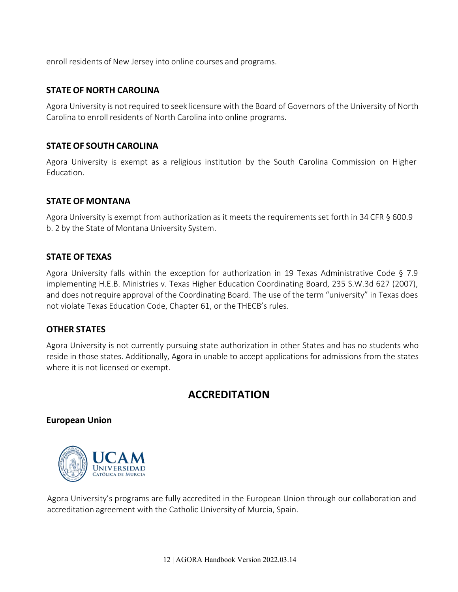enroll residents of New Jersey into online courses and programs.

#### <span id="page-11-0"></span>**STATE OF NORTH CAROLINA**

Agora University is not required to seek licensure with the Board of Governors of the University of North Carolina to enroll residents of North Carolina into online programs.

#### <span id="page-11-1"></span>**STATE OF SOUTH CAROLINA**

Agora University is exempt as a religious institution by the South Carolina Commission on Higher Education.

#### <span id="page-11-2"></span>**STATE OF MONTANA**

Agora University is exempt from authorization as it meets the requirements set forth in 34 CFR § 600.9 b. 2 by the State of Montana University System.

#### <span id="page-11-3"></span>**STATE OF TEXAS**

Agora University falls within the exception for authorization in 19 Texas Administrative Code § 7.9 implementing H.E.B. Ministries v. Texas Higher Education Coordinating Board, 235 S.W.3d 627 (2007), and does not require approval of the Coordinating Board. The use of the term "university" in Texas does not violate Texas Education Code, Chapter 61, or the THECB's rules.

#### <span id="page-11-4"></span>**OTHER STATES**

Agora University is not currently pursuing state authorization in other States and has no students who reside in those states. Additionally, Agora in unable to accept applications for admissions from the states where it is not licensed or exempt.

# **ACCREDITATION**

#### <span id="page-11-6"></span><span id="page-11-5"></span>**European Union**



Agora University's programs are fully accredited in the European Union through our collaboration and accreditation agreement with the Catholic University of Murcia, Spain.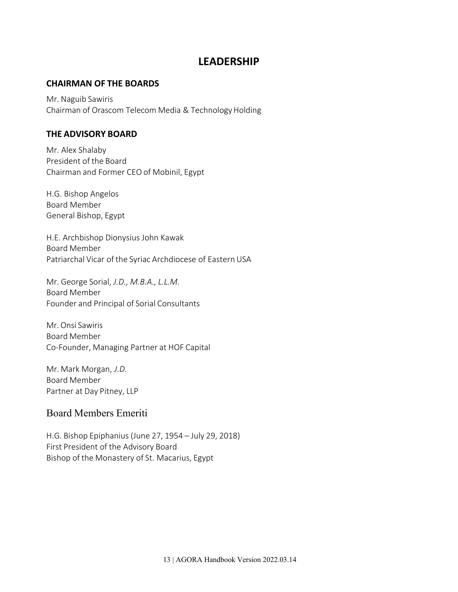### **LEADERSHIP**

#### <span id="page-12-1"></span><span id="page-12-0"></span>**CHAIRMAN OF THE BOARDS**

Mr. Naguib Sawiris Chairman of Orascom Telecom Media & Technology Holding

#### <span id="page-12-2"></span>**THE ADVISORY BOARD**

Mr. Alex Shalaby President of the Board Chairman and Former CEO of Mobinil, Egypt

H.G. Bishop Angelos Board Member General Bishop, Egypt

H.E. Archbishop Dionysius John Kawak Board Member Patriarchal Vicar of the Syriac Archdiocese of Eastern USA

Mr. George Sorial, *J.D., M.B.A., L.L.M.*  Board Member Founder and Principal of Sorial Consultants

Mr. Onsi Sawiris Board Member Co-Founder, Managing Partner at HOF Capital

Mr. Mark Morgan, *J.D.*  Board Member Partner at Day Pitney, LLP

### Board Members Emeriti

H.G. Bishop Epiphanius (June 27, 1954 – July 29, 2018) First President of the Advisory Board Bishop of the Monastery of St. Macarius, Egypt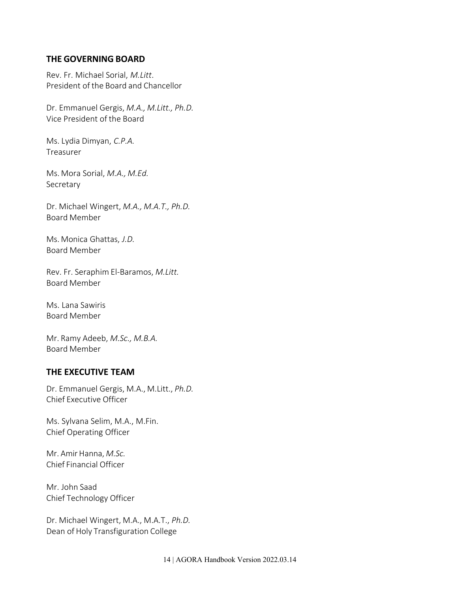#### <span id="page-13-0"></span>**THE GOVERNING BOARD**

Rev. Fr. Michael Sorial, *M.Litt*. President of the Board and Chancellor

Dr. Emmanuel Gergis, *M.A., M.Litt., Ph.D.*  Vice President of the Board

Ms. Lydia Dimyan, *C.P.A.*  Treasurer

Ms. Mora Sorial, *M.A., M.Ed.*  Secretary

Dr. Michael Wingert, *M.A., M.A.T., Ph.D.*  Board Member

Ms. Monica Ghattas, *J.D.*  Board Member

Rev. Fr. Seraphim El-Baramos, *M.Litt.*  Board Member

Ms. Lana Sawiris Board Member

Mr. Ramy Adeeb, *M.Sc., M.B.A.*  Board Member

#### <span id="page-13-1"></span>**THE EXECUTIVE TEAM**

Dr. Emmanuel Gergis, M.A., M.Litt., *Ph.D.*  Chief Executive Officer

Ms. Sylvana Selim, M.A., M.Fin. Chief Operating Officer

Mr. Amir Hanna, *M.Sc.* Chief Financial Officer

Mr. John Saad Chief Technology Officer

Dr. Michael Wingert, M.A., M.A.T., *Ph.D.*  Dean of Holy Transfiguration College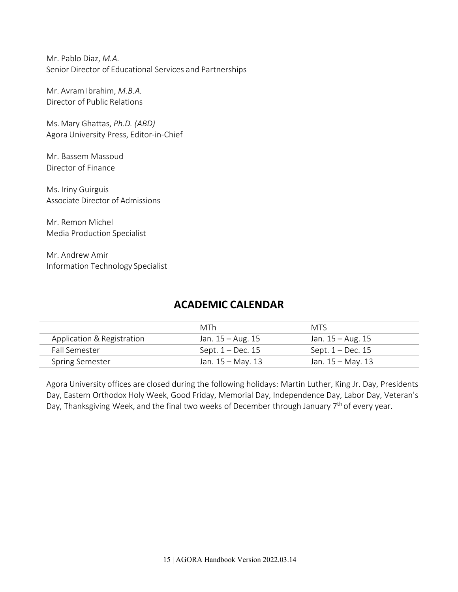Mr. Pablo Diaz, *M.A.*  Senior Director of Educational Services and Partnerships

Mr. Avram Ibrahim, *M.B.A.*  Director of Public Relations

Ms. Mary Ghattas, *Ph.D. (ABD)*  Agora University Press, Editor-in-Chief

Mr. Bassem Massoud Director of Finance

Ms. Iriny Guirguis Associate Director of Admissions

Mr. Remon Michel Media Production Specialist

Mr. Andrew Amir Information Technology Specialist

# **ACADEMIC CALENDAR**

<span id="page-14-0"></span>

|                            | MTh               | MTS                 |
|----------------------------|-------------------|---------------------|
| Application & Registration | Jan. 15 – Aug. 15 | Jan. 15 – Aug. 15   |
| <b>Fall Semester</b>       | Sept. 1 – Dec. 15 | Sept. $1 - Dec.$ 15 |
| <b>Spring Semester</b>     | Jan. 15 – May. 13 | Jan. 15 – May. 13   |

Agora University offices are closed during the following holidays: Martin Luther, King Jr. Day, Presidents Day, Eastern Orthodox Holy Week, Good Friday, Memorial Day, Independence Day, Labor Day, Veteran's Day, Thanksgiving Week, and the final two weeks of December through January 7<sup>th</sup> of every year.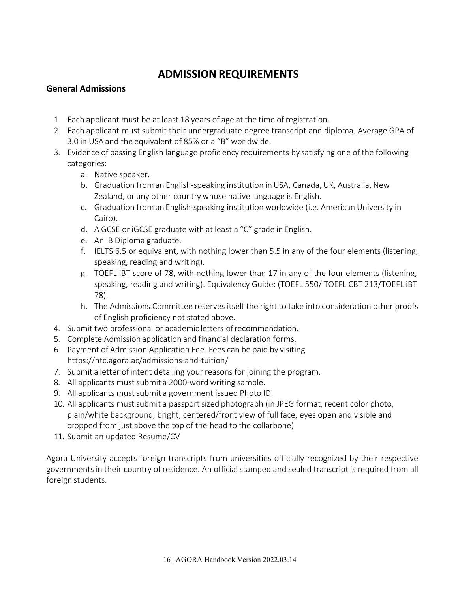# <span id="page-15-1"></span>**ADMISSION REQUIREMENTS**

#### <span id="page-15-0"></span>**General Admissions**

- 1. Each applicant must be at least 18 years of age at the time ofregistration.
- 2. Each applicant must submit their undergraduate degree transcript and diploma. Average GPA of 3.0 in USA and the equivalent of 85% or a "B" worldwide.
- 3. Evidence of passing English language proficiency requirements by satisfying one of the following categories:
	- a. Native speaker.
	- b. Graduation from an English-speaking institution in USA, Canada, UK, Australia, New Zealand, or any other country whose native language is English.
	- c. Graduation from an English-speaking institution worldwide (i.e. American University in Cairo).
	- d. A GCSE or iGCSE graduate with at least a "C" grade in English.
	- e. An IB Diploma graduate.
	- f. IELTS 6.5 or equivalent, with nothing lower than 5.5 in any of the four elements (listening, speaking, reading and writing).
	- g. TOEFL iBT score of 78, with nothing lower than 17 in any of the four elements (listening, speaking, reading and writing). Equivalency Guide: (TOEFL 550/ TOEFL CBT 213/TOEFL iBT 78).
	- h. The Admissions Committee reserves itself the right to take into consideration other proofs of English proficiency not stated above.
- 4. Submit two professional or academic letters ofrecommendation.
- 5. Complete Admission application and financial declaration forms.
- 6. Payment of Admission Application Fee. Fees can be paid by visiting https://htc.agora.ac/admissions-and-tuition/
- 7. Submit a letter of intent detailing your reasons for joining the program.
- 8. All applicants must submit a 2000-word writing sample.
- 9. All applicants must submit a government issued Photo ID.
- 10. All applicants must submit a passport sized photograph (in JPEG format, recent color photo, plain/white background, bright, centered/front view of full face, eyes open and visible and cropped from just above the top of the head to the collarbone)
- 11. Submit an updated Resume/CV

Agora University accepts foreign transcripts from universities officially recognized by their respective governments in their country of residence. An official stamped and sealed transcript is required from all foreign students.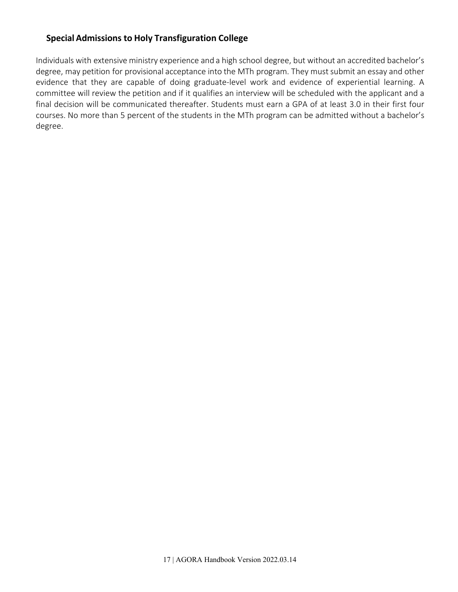#### <span id="page-16-0"></span>**Special Admissions to Holy Transfiguration College**

Individuals with extensive ministry experience and a high school degree, but without an accredited bachelor's degree, may petition for provisional acceptance into the MTh program. They must submit an essay and other evidence that they are capable of doing graduate-level work and evidence of experiential learning. A committee will review the petition and if it qualifies an interview will be scheduled with the applicant and a final decision will be communicated thereafter. Students must earn a GPA of at least 3.0 in their first four courses. No more than 5 percent of the students in the MTh program can be admitted without a bachelor's degree.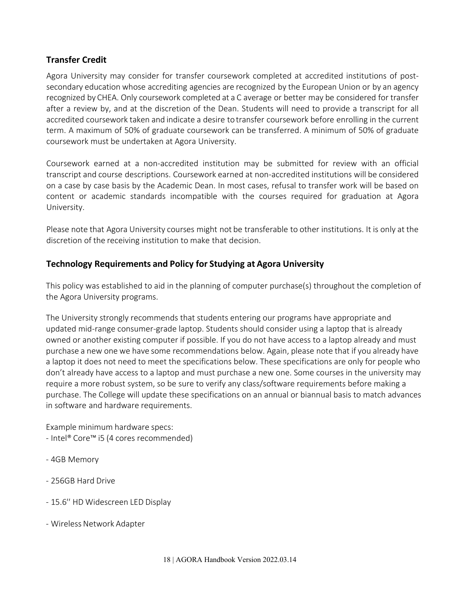#### <span id="page-17-0"></span>**Transfer Credit**

Agora University may consider for transfer coursework completed at accredited institutions of postsecondary education whose accrediting agencies are recognized by the European Union or by an agency recognized by CHEA. Only coursework completed at a C average or better may be considered for transfer after a review by, and at the discretion of the Dean. Students will need to provide a transcript for all accredited coursework taken and indicate a desire to transfer coursework before enrolling in the current term. A maximum of 50% of graduate coursework can be transferred. A minimum of 50% of graduate coursework must be undertaken at Agora University.

Coursework earned at a non-accredited institution may be submitted for review with an official transcript and course descriptions. Coursework earned at non-accredited institutions will be considered on a case by case basis by the Academic Dean. In most cases, refusal to transfer work will be based on content or academic standards incompatible with the courses required for graduation at Agora University.

Please note that Agora University courses might not be transferable to other institutions. It is only at the discretion of the receiving institution to make that decision.

#### <span id="page-17-1"></span>**Technology Requirements and Policy for Studying at Agora University**

This policy was established to aid in the planning of computer purchase(s) throughout the completion of the Agora University programs.

The University strongly recommends that students entering our programs have appropriate and updated mid-range consumer-grade laptop. Students should consider using a laptop that is already owned or another existing computer if possible. If you do not have access to a laptop already and must purchase a new one we have some recommendations below. Again, please note that if you already have a laptop it does not need to meet the specifications below. These specifications are only for people who don't already have access to a laptop and must purchase a new one. Some courses in the university may require a more robust system, so be sure to verify any class/software requirements before making a purchase. The College will update these specifications on an annual or biannual basis to match advances in software and hardware requirements.

Example minimum hardware specs: - Intel® Core™ i5 (4 cores recommended)

- 4GB Memory
- 256GB Hard Drive
- 15.6′′ HD Widescreen LED Display
- Wireless Network Adapter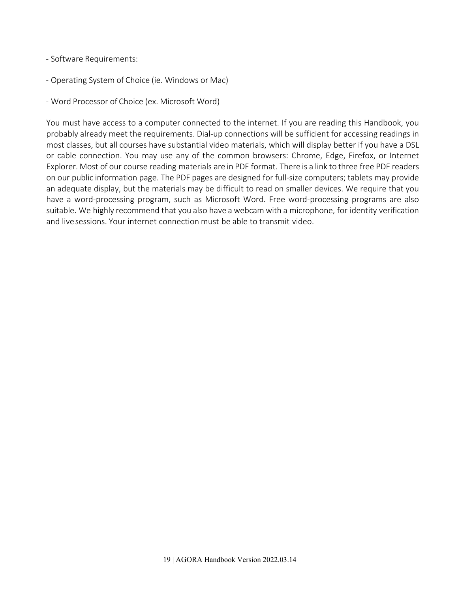#### - Software Requirements:

- Operating System of Choice (ie. Windows or Mac)
- Word Processor of Choice (ex. Microsoft Word)

You must have access to a computer connected to the internet. If you are reading this Handbook, you probably already meet the requirements. Dial-up connections will be sufficient for accessing readings in most classes, but all courses have substantial video materials, which will display better if you have a DSL or cable connection. You may use any of the common browsers: Chrome, Edge, Firefox, or Internet Explorer. Most of our course reading materials are in PDF format. There is a link to three free PDF readers on our public information page. The PDF pages are designed for full-size computers; tablets may provide an adequate display, but the materials may be difficult to read on smaller devices. We require that you have a word-processing program, such as Microsoft Word. Free word-processing programs are also suitable. We highly recommend that you also have a webcam with a microphone, for identity verification and livesessions. Your internet connection must be able to transmit video.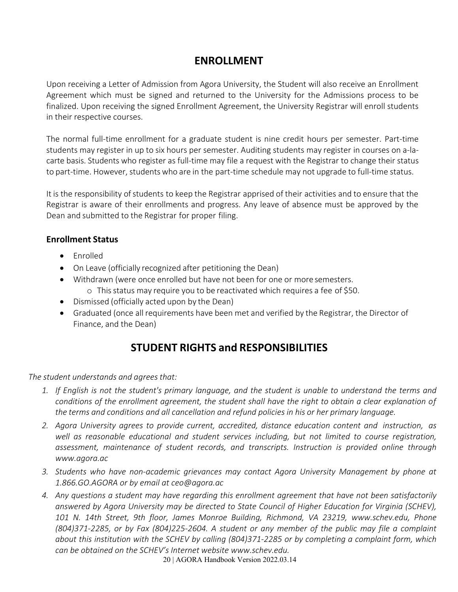# **ENROLLMENT**

<span id="page-19-0"></span>Upon receiving a Letter of Admission from Agora University, the Student will also receive an Enrollment Agreement which must be signed and returned to the University for the Admissions process to be finalized. Upon receiving the signed Enrollment Agreement, the University Registrar will enroll students in their respective courses.

The normal full-time enrollment for a graduate student is nine credit hours per semester. Part-time students may register in up to six hours per semester. Auditing students may register in courses on a-lacarte basis. Students who register as full-time may file a request with the Registrar to change their status to part-time. However, students who are in the part-time schedule may not upgrade to full-time status.

It is the responsibility of students to keep the Registrar apprised of their activities and to ensure that the Registrar is aware of their enrollments and progress. Any leave of absence must be approved by the Dean and submitted to the Registrar for proper filing.

#### <span id="page-19-1"></span>**Enrollment Status**

- Enrolled
- On Leave (officially recognized after petitioning the Dean)
- Withdrawn (were once enrolled but have not been for one or more semesters.
	- o Thisstatus may require you to be reactivated which requires a fee of \$50.
- Dismissed (officially acted upon by the Dean)
- Graduated (once all requirements have been met and verified by the Registrar, the Director of Finance, and the Dean)

# **STUDENT RIGHTS and RESPONSIBILITIES**

<span id="page-19-2"></span>*The student understands and agreesthat:*

- *1. If English is not the student's primary language, and the student is unable to understand the terms and conditions of the enrollment agreement, the student shall have the right to obtain a clear explanation of the terms and conditions and all cancellation and refund policies in his or her primary language.*
- *2. Agora University agrees to provide current, accredited, distance education content and instruction, as well as reasonable educational and student services including, but not limited to course registration, assessment, maintenance of student records, and transcripts. Instruction is provided online through [www.agora.ac](http://www.agora.ac/)*
- *3. Students who have non-academic grievances may contact Agora University Management by phone at 1.866.GO.AGORA or by email at [ceo@agora.ac](mailto:ceo@agora.ac)*
- *4. Any questions a student may have regarding this enrollment agreement that have not been satisfactorily answered by Agora University may be directed to State Council of Higher Education for Virginia (SCHEV), 101 N. 14th Street, 9th floor, James Monroe Building, Richmond, VA 23219, [www.schev.edu,](http://www.schev.edu/) Phone (804)371-2285, or by Fax (804)225-2604. A student or any member of the public may file a complaint about this institution with the SCHEV by calling (804)371-2285 or by completing a complaint form, which can be obtained on the SCHEV's Internet website [www.schev.edu.](http://www.schev.edu/)*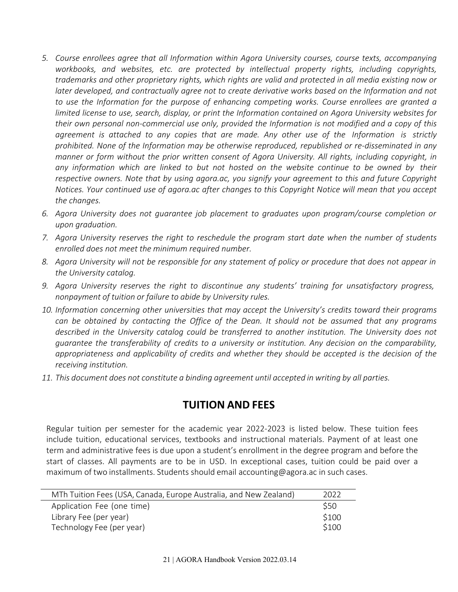- *5. Course enrollees agree that all Information within Agora University courses, course texts, accompanying workbooks, and websites, etc. are protected by intellectual property rights, including copyrights, trademarks and other proprietary rights, which rights are valid and protected in all media existing now or later developed, and contractually agree not to create derivative works based on the Information and not to use the Information for the purpose of enhancing competing works. Course enrollees are granted a limited license to use, search, display, or print the Information contained on Agora University websites for their own personal non-commercial use only, provided the Information is not modified and a copy of this agreement is attached to any copies that are made. Any other use of the Information is strictly prohibited. None of the Information may be otherwise reproduced, republished or re-disseminated in any manner or form without the prior written consent of Agora University. All rights, including copyright, in any information which are linked to but not hosted on the website continue to be owned by their respective owners. Note that by using agora.ac, you signify your agreement to this and future Copyright Notices. Your continued use of agora.ac after changes to this Copyright Notice will mean that you accept the changes.*
- *6. Agora University does not guarantee job placement to graduates upon program/course completion or upon graduation.*
- *7. Agora University reserves the right to reschedule the program start date when the number of students enrolled does not meet the minimum required number.*
- *8. Agora University will not be responsible for any statement of policy or procedure that does not appear in the University catalog.*
- *9. Agora University reserves the right to discontinue any students' training for unsatisfactory progress, nonpayment of tuition or failure to abide by University rules.*
- *10. Information concerning other universities that may accept the University's credits toward their programs can be obtained by contacting the Office of the Dean. It should not be assumed that any programs described in the University catalog could be transferred to another institution. The University does not guarantee the transferability of credits to a university or institution. Any decision on the comparability, appropriateness and applicability of credits and whether they should be accepted is the decision of the receiving institution.*
- <span id="page-20-0"></span>*11. This document does not constitute a binding agreement until accepted in writing by all parties.*

# **TUITION AND FEES**

Regular tuition per semester for the academic year 2022-2023 is listed below. These tuition fees include tuition, educational services, textbooks and instructional materials. Payment of at least one term and administrative fees is due upon a student's enrollment in the degree program and before the start of classes. All payments are to be in USD. In exceptional cases, tuition could be paid over a maximum of two installments. Students should email [accounting@agora.ac](mailto:accounting@agora.ac) in such cases.

| MTh Tuition Fees (USA, Canada, Europe Australia, and New Zealand) | 2022  |
|-------------------------------------------------------------------|-------|
| Application Fee (one time)                                        | \$50  |
| Library Fee (per year)                                            | \$100 |
| Technology Fee (per year)                                         | \$100 |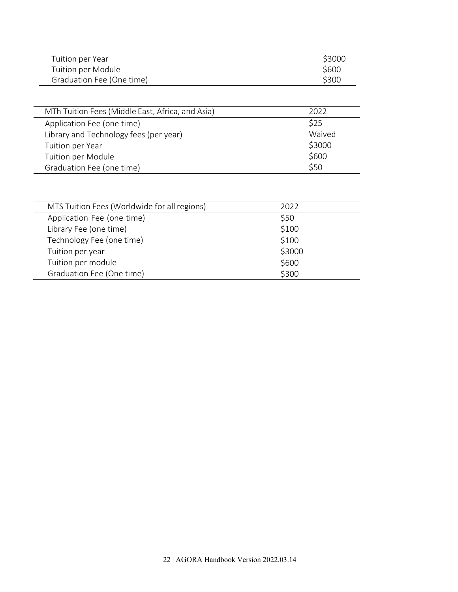| Tuition per Year          | \$3000 |
|---------------------------|--------|
| Tuition per Module        | \$600  |
| Graduation Fee (One time) | \$300  |

| MTh Tuition Fees (Middle East, Africa, and Asia) | 2022   |
|--------------------------------------------------|--------|
| Application Fee (one time)                       | \$25   |
| Library and Technology fees (per year)           | Waived |
| Tuition per Year                                 | \$3000 |
| Tuition per Module                               | \$600  |
| Graduation Fee (one time)                        | \$50   |

| MTS Tuition Fees (Worldwide for all regions) | 2022   |
|----------------------------------------------|--------|
| Application Fee (one time)                   | \$50   |
| Library Fee (one time)                       | \$100  |
| Technology Fee (one time)                    | \$100  |
| Tuition per year                             | \$3000 |
| Tuition per module                           | \$600  |
| Graduation Fee (One time)                    | \$300  |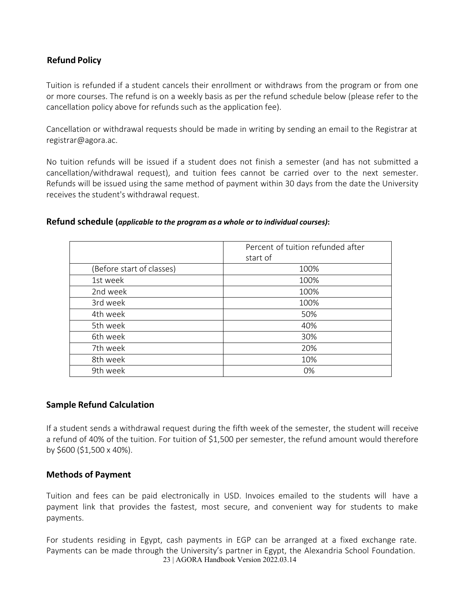#### <span id="page-22-0"></span>**Refund Policy**

Tuition is refunded if a student cancels their enrollment or withdraws from the program or from one or more courses. The refund is on a weekly basis as per the refund schedule below (please refer to the cancellation policy above for refunds such as the application fee).

Cancellation or withdrawal requests should be made in writing by sending an email to the Registrar at [registrar@agora.ac.](mailto:registrar@agora.ac)

No tuition refunds will be issued if a student does not finish a semester (and has not submitted a cancellation/withdrawal request), and tuition fees cannot be carried over to the next semester. Refunds will be issued using the same method of payment within 30 days from the date the University receives the student's withdrawal request.

#### **Refund schedule (***applicable to the program as a whole or to individual courses)***:**

|                           | Percent of tuition refunded after<br>start of |
|---------------------------|-----------------------------------------------|
| (Before start of classes) | 100%                                          |
| 1st week                  | 100%                                          |
| 2nd week                  | 100%                                          |
| 3rd week                  | 100%                                          |
| 4th week                  | 50%                                           |
| 5th week                  | 40%                                           |
| 6th week                  | 30%                                           |
| 7th week                  | 20%                                           |
| 8th week                  | 10%                                           |
| 9th week                  | 0%                                            |

#### **Sample Refund Calculation**

If a student sends a withdrawal request during the fifth week of the semester, the student will receive a refund of 40% of the tuition. For tuition of \$1,500 per semester, the refund amount would therefore by \$600 (\$1,500 x 40%).

#### <span id="page-22-1"></span>**Methods of Payment**

Tuition and fees can be paid electronically in USD. Invoices emailed to the students will have a payment link that provides the fastest, most secure, and convenient way for students to make payments.

23 | AGORA Handbook Version 2022.03.14 For students residing in Egypt, cash payments in EGP can be arranged at a fixed exchange rate. Payments can be made through the University's partner in Egypt, the Alexandria School Foundation.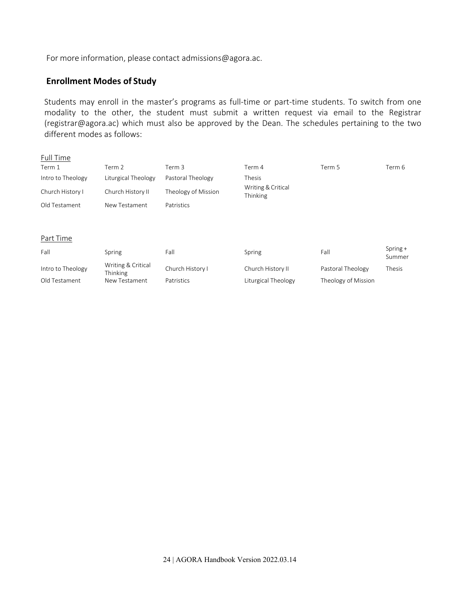For more information, please contact [admissions@agora.ac.](mailto:admissions@agora.ac)

#### **Enrollment Modes of Study**

Students may enroll in the master's programs as full-time or part-time students. To switch from one modality to the other, the student must submit a written request via email to the Registrar [\(registrar@agora.ac\)](mailto:registrar@agora.ac) which must also be approved by the Dean. The schedules pertaining to the two different modes as follows:

| Full Time         |                                |                     |                                |                     |                      |
|-------------------|--------------------------------|---------------------|--------------------------------|---------------------|----------------------|
| Term 1            | Term 2                         | Term 3              | Term 4                         | Term 5              | Term 6               |
| Intro to Theology | Liturgical Theology            | Pastoral Theology   | Thesis                         |                     |                      |
| Church History I  | Church History II              | Theology of Mission | Writing & Critical<br>Thinking |                     |                      |
| Old Testament     | New Testament                  | Patristics          |                                |                     |                      |
|                   |                                |                     |                                |                     |                      |
| Part Time         |                                |                     |                                |                     |                      |
| Fall              | Spring                         | Fall                | Spring                         | Fall                | $Spring +$<br>Summer |
| Intro to Theology | Writing & Critical<br>Thinking | Church History I    | Church History II              | Pastoral Theology   | Thesis               |
| Old Testament     | New Testament                  | Patristics          | Liturgical Theology            | Theology of Mission |                      |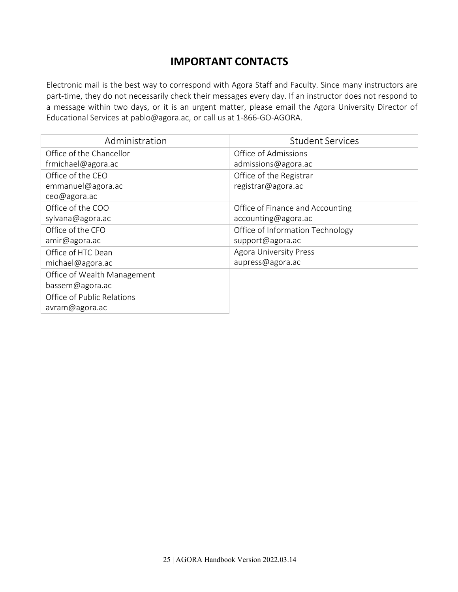# **IMPORTANT CONTACTS**

<span id="page-24-0"></span>Electronic mail is the best way to correspond with Agora Staff and Faculty. Since many instructors are part-time, they do not necessarily check their messages every day. If an instructor does not respond to a message within two days, or it is an urgent matter, please email the Agora University Director of Educational Services at [pablo@agora.ac,](mailto:pablo@aui.ac) or call us at 1-866-GO-AGORA.

| Administration              | <b>Student Services</b>          |
|-----------------------------|----------------------------------|
| Office of the Chancellor    | Office of Admissions             |
| frmichael@agora.ac          | admissions@agora.ac              |
| Office of the CEO           | Office of the Registrar          |
| emmanuel@agora.ac           | registrar@agora.ac               |
| ceo@agora.ac                |                                  |
| Office of the COO           | Office of Finance and Accounting |
| sylvana@agora.ac            | accounting@agora.ac              |
| Office of the CFO           | Office of Information Technology |
| amir@agora.ac               | support@agora.ac                 |
| Office of HTC Dean          | <b>Agora University Press</b>    |
| michael@agora.ac            | aupress@agora.ac                 |
| Office of Wealth Management |                                  |
| bassem@agora.ac             |                                  |
| Office of Public Relations  |                                  |
| avram@agora.ac              |                                  |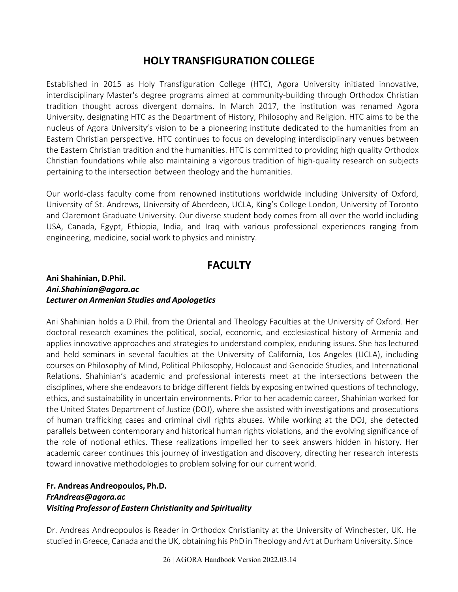# **HOLY TRANSFIGURATION COLLEGE**

<span id="page-25-0"></span>Established in 2015 as Holy Transfiguration College (HTC), Agora University initiated innovative, interdisciplinary Master's degree programs aimed at community-building through Orthodox Christian tradition thought across divergent domains. In March 2017, the institution was renamed Agora University, designating HTC as the Department of History, Philosophy and Religion. HTC aims to be the nucleus of Agora University's vision to be a pioneering institute dedicated to the humanities from an Eastern Christian perspective. HTC continues to focus on developing interdisciplinary venues between the Eastern Christian tradition and the humanities. HTC is committed to providing high quality Orthodox Christian foundations while also maintaining a vigorous tradition of high-quality research on subjects pertaining to the intersection between theology and the humanities.

Our world-class faculty come from renowned institutions worldwide including University of Oxford, University of St. Andrews, University of Aberdeen, UCLA, King's College London, University of Toronto and Claremont Graduate University. Our diverse student body comes from all over the world including USA, Canada, Egypt, Ethiopia, India, and Iraq with various professional experiences ranging from engineering, medicine, social work to physics and ministry.

## **FACULTY**

#### <span id="page-25-1"></span>**Ani Shahinian, D.Phil.** *[Ani.Shahinian@agora.ac](mailto:Ani.Shahinian@aui.ac) Lecturer on Armenian Studies and Apologetics*

Ani Shahinian holds a D.Phil. from the Oriental and Theology Faculties at the University of Oxford. Her doctoral research examines the political, social, economic, and ecclesiastical history of Armenia and applies innovative approaches and strategies to understand complex, enduring issues. She has lectured and held seminars in several faculties at the University of California, Los Angeles (UCLA), including courses on Philosophy of Mind, Political Philosophy, Holocaust and Genocide Studies, and International Relations. Shahinian's academic and professional interests meet at the intersections between the disciplines, where she endeavors to bridge different fields by exposing entwined questions of technology, ethics, and sustainability in uncertain environments. Prior to her academic career, Shahinian worked for the United States Department of Justice (DOJ), where she assisted with investigations and prosecutions of human trafficking cases and criminal civil rights abuses. While working at the DOJ, she detected parallels between contemporary and historical human rights violations, and the evolving significance of the role of notional ethics. These realizations impelled her to seek answers hidden in history. Her academic career continues this journey of investigation and discovery, directing her research interests toward innovative methodologies to problem solving for our current world.

#### **Fr. Andreas Andreopoulos, Ph.D.** *[FrAndreas@agora.ac](mailto:FrAndreas@aui.ac) Visiting Professor of Eastern Christianity and Spirituality*

Dr. Andreas Andreopoulos is Reader in Orthodox Christianity at the University of Winchester, UK. He studied in Greece, Canada and the UK, obtaining his PhD in Theology and Art at Durham University. Since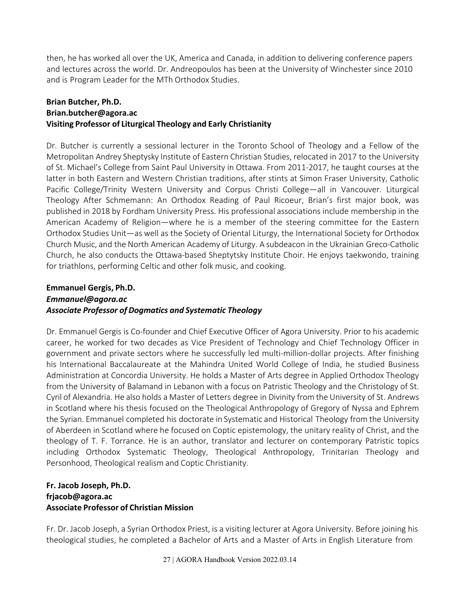then, he has worked all over the UK, America and Canada, in addition to delivering conference papers and lectures across the world. Dr. Andreopoulos has been at the University of Winchester since 2010 and is Program Leader for the MTh Orthodox Studies.

#### **Brian Butcher, Ph.D. [Brian.butcher@agora.ac](mailto:Brian.butcher@aui.ac) Visiting Professor of Liturgical Theology and Early Christianity**

Dr. Butcher is currently a sessional lecturer in the Toronto School of Theology and a Fellow of the Metropolitan Andrey Sheptysky Institute of Eastern Christian Studies, relocated in 2017 to the University of St. Michael's College from Saint Paul University in Ottawa. From 2011-2017, he taught courses at the latter in both Eastern and Western Christian traditions, after stints at Simon Fraser University, Catholic Pacific College/Trinity Western University and Corpus Christi College—all in Vancouver. Liturgical Theology After Schmemann: An Orthodox Reading of Paul Ricoeur, Brian's first major book, was published in 2018 by Fordham University Press. His professional associations include membership in the American Academy of Religion—where he is a member of the steering committee for the Eastern Orthodox Studies Unit—as well as the Society of Oriental Liturgy, the International Society for Orthodox Church Music, and the North American Academy of Liturgy. A subdeacon in the Ukrainian Greco-Catholic Church, he also conducts the Ottawa-based Sheptytsky Institute Choir. He enjoys taekwondo, training for triathlons, performing Celtic and other folk music, and cooking.

### **Emmanuel Gergis, Ph.D.** *[Emmanuel@agora.ac](mailto:Emmanuel@aui.ac) Associate Professor of Dogmatics and Systematic Theology*

Dr. Emmanuel Gergis is Co-founder and Chief Executive Officer of Agora University. Prior to his academic career, he worked for two decades as Vice President of Technology and Chief Technology Officer in government and private sectors where he successfully led multi-million-dollar projects. After finishing his International Baccalaureate at the Mahindra United World College of India, he studied Business Administration at Concordia University. He holds a Master of Arts degree in Applied Orthodox Theology from the University of Balamand in Lebanon with a focus on Patristic Theology and the Christology of St. Cyril of Alexandria. He also holds a Master of Letters degree in Divinity from the University of St. Andrews in Scotland where his thesis focused on the Theological Anthropology of Gregory of Nyssa and Ephrem the Syrian. Emmanuel completed his doctorate in Systematic and Historical Theology from the University of Aberdeen in Scotland where he focused on Coptic epistemology, the unitary reality of Christ, and the theology of T. F. Torrance. He is an author, translator and lecturer on contemporary Patristic topics including Orthodox Systematic Theology, Theological Anthropology, Trinitarian Theology and Personhood, Theological realism and Coptic Christianity.

#### **Fr. Jacob Joseph, Ph.D. [frjacob@agora.ac](mailto:frjacob@agora.ac) Associate Professor of Christian Mission**

Fr. Dr. Jacob Joseph, a Syrian Orthodox Priest, is a visiting lecturer at Agora University. Before joining his theological studies, he completed a Bachelor of Arts and a Master of Arts in English Literature from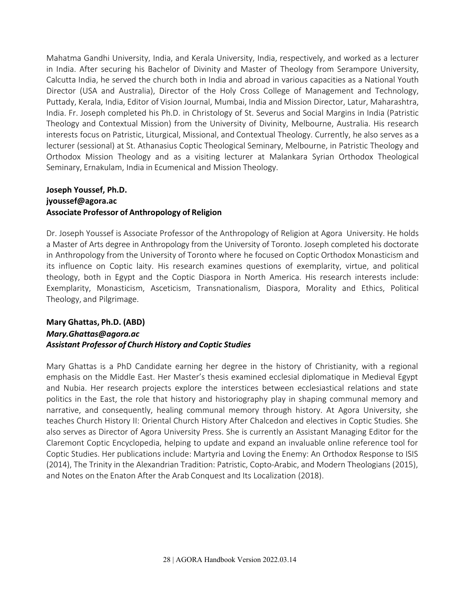Mahatma Gandhi University, India, and Kerala University, India, respectively, and worked as a lecturer in India. After securing his Bachelor of Divinity and Master of Theology from Serampore University, Calcutta India, he served the church both in India and abroad in various capacities as a National Youth Director (USA and Australia), Director of the Holy Cross College of Management and Technology, Puttady, Kerala, India, Editor of Vision Journal, Mumbai, India and Mission Director, Latur, Maharashtra, India. Fr. Joseph completed his Ph.D. in Christology of St. Severus and Social Margins in India (Patristic Theology and Contextual Mission) from the University of Divinity, Melbourne, Australia. His research interests focus on Patristic, Liturgical, Missional, and Contextual Theology. Currently, he also serves as a lecturer (sessional) at St. Athanasius Coptic Theological Seminary, Melbourne, in Patristic Theology and Orthodox Mission Theology and as a visiting lecturer at Malankara Syrian Orthodox Theological Seminary, Ernakulam, India in Ecumenical and Mission Theology.

#### **Joseph Youssef, Ph.D. [jyoussef@agora.ac](mailto:jyoussef@aui.ac) Associate Professor of Anthropology of Religion**

Dr. Joseph Youssef is Associate Professor of the Anthropology of Religion at Agora University. He holds a Master of Arts degree in Anthropology from the University of Toronto. Joseph completed his doctorate in Anthropology from the University of Toronto where he focused on Coptic Orthodox Monasticism and its influence on Coptic laity. His research examines questions of exemplarity, virtue, and political theology, both in Egypt and the Coptic Diaspora in North America. His research interests include: Exemplarity, Monasticism, Asceticism, Transnationalism, Diaspora, Morality and Ethics, Political Theology, and Pilgrimage.

#### **Mary Ghattas, Ph.D. (ABD)** *[Mary.Ghattas@agora.ac](mailto:Mary.Ghattas@aui.ac) Assistant Professor of Church History and Coptic Studies*

Mary Ghattas is a PhD Candidate earning her degree in the history of Christianity, with a regional emphasis on the Middle East. Her Master's thesis examined ecclesial diplomatique in Medieval Egypt and Nubia. Her research projects explore the interstices between ecclesiastical relations and state politics in the East, the role that history and historiography play in shaping communal memory and narrative, and consequently, healing communal memory through history. At Agora University, she teaches Church History II: Oriental Church History After Chalcedon and electives in Coptic Studies. She also serves as Director of Agora University Press. She is currently an Assistant Managing Editor for the Claremont Coptic Encyclopedia, helping to update and expand an invaluable online reference tool for Coptic Studies. Her publications include: Martyria and Loving the Enemy: An Orthodox Response to ISIS (2014), The Trinity in the Alexandrian Tradition: Patristic, Copto-Arabic, and Modern Theologians (2015), and Notes on the Enaton After the Arab Conquest and Its Localization (2018).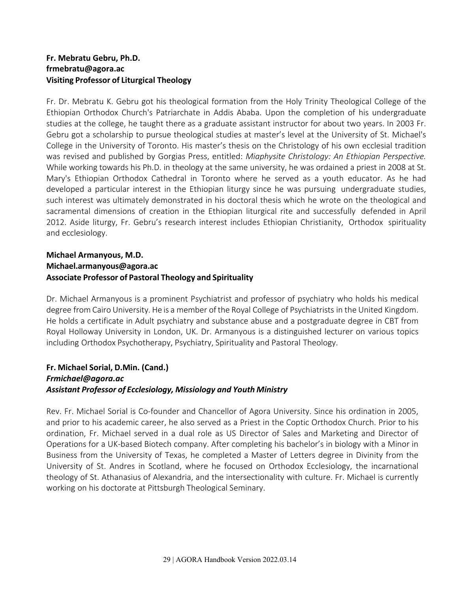#### **Fr. Mebratu Gebru, Ph.D. [frmebratu@agora.ac](mailto:frmebratu@aui.ac) Visiting Professor of Liturgical Theology**

Fr. Dr. Mebratu K. Gebru got his theological formation from the Holy Trinity Theological College of the Ethiopian Orthodox Church's Patriarchate in Addis Ababa. Upon the completion of his undergraduate studies at the college, he taught there as a graduate assistant instructor for about two years. In 2003 Fr. Gebru got a scholarship to pursue theological studies at master's level at the University of St. Michael's College in the University of Toronto. His master's thesis on the Christology of his own ecclesial tradition was revised and published by Gorgias Press, entitled: *Miaphysite Christology: An Ethiopian Perspective.* While working towards his Ph.D. in theology at the same university, he was ordained a priest in 2008 at St. Mary's Ethiopian Orthodox Cathedral in Toronto where he served as a youth educator. As he had developed a particular interest in the Ethiopian liturgy since he was pursuing undergraduate studies, such interest was ultimately demonstrated in his doctoral thesis which he wrote on the theological and sacramental dimensions of creation in the Ethiopian liturgical rite and successfully defended in April 2012. Aside liturgy, Fr. Gebru's research interest includes Ethiopian Christianity, Orthodox spirituality and ecclesiology.

#### **Michael Armanyous, M.D. [Michael.armanyous@agora.ac](mailto:Michael.armanyous@aui.ac) Associate Professor of Pastoral Theology and Spirituality**

Dr. Michael Armanyous is a prominent Psychiatrist and professor of psychiatry who holds his medical degree from Cairo University. He is a member of the Royal College of Psychiatrists in the United Kingdom. He holds a certificate in Adult psychiatry and substance abuse and a postgraduate degree in CBT from Royal Holloway University in London, UK. Dr. Armanyous is a distinguished lecturer on various topics including Orthodox Psychotherapy, Psychiatry, Spirituality and Pastoral Theology.

#### **Fr. Michael Sorial, D.Min. (Cand.)** *[Frmichael@agora.ac](mailto:Frmichael@aui.ac) Assistant Professor of Ecclesiology, Missiology and Youth Ministry*

Rev. Fr. Michael Sorial is Co-founder and Chancellor of Agora University. Since his ordination in 2005, and prior to his academic career, he also served as a Priest in the Coptic Orthodox Church. Prior to his ordination, Fr. Michael served in a dual role as US Director of Sales and Marketing and Director of Operations for a UK-based Biotech company. After completing his bachelor's in biology with a Minor in Business from the University of Texas, he completed a Master of Letters degree in Divinity from the University of St. Andres in Scotland, where he focused on Orthodox Ecclesiology, the incarnational theology of St. Athanasius of Alexandria, and the intersectionality with culture. Fr. Michael is currently working on his doctorate at Pittsburgh Theological Seminary.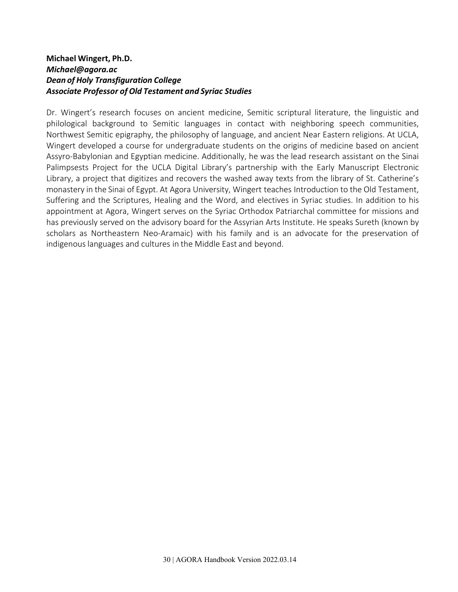#### **Michael Wingert, Ph.D.** *[Michael@agora.ac](mailto:Michael@aui.ac) Dean of Holy Transfiguration College Associate Professor of Old Testament and Syriac Studies*

Dr. Wingert's research focuses on ancient medicine, Semitic scriptural literature, the linguistic and philological background to Semitic languages in contact with neighboring speech communities, Northwest Semitic epigraphy, the philosophy of language, and ancient Near Eastern religions. At UCLA, Wingert developed a course for undergraduate students on the origins of medicine based on ancient Assyro-Babylonian and Egyptian medicine. Additionally, he was the lead research assistant on the Sinai Palimpsests Project for the UCLA Digital Library's partnership with the Early Manuscript Electronic Library, a project that digitizes and recovers the washed away texts from the library of St. Catherine's monastery in the Sinai of Egypt. At Agora University, Wingert teaches Introduction to the Old Testament, Suffering and the Scriptures, Healing and the Word, and electives in Syriac studies. In addition to his appointment at Agora, Wingert serves on the Syriac Orthodox Patriarchal committee for missions and has previously served on the advisory board for the Assyrian Arts Institute. He speaks Sureth (known by scholars as Northeastern Neo-Aramaic) with his family and is an advocate for the preservation of indigenous languages and cultures in the Middle East and beyond.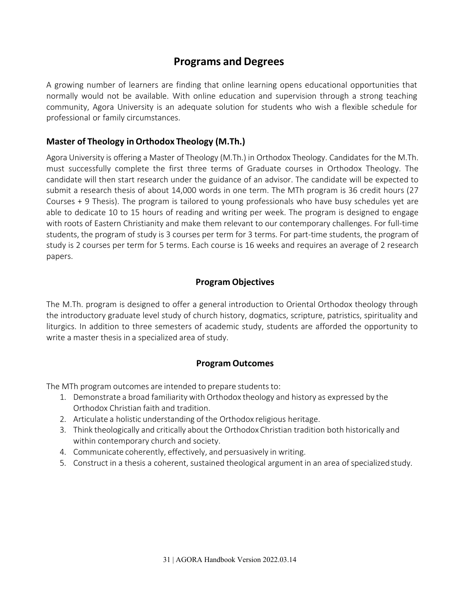# **Programs and Degrees**

<span id="page-30-0"></span>A growing number of learners are finding that online learning opens educational opportunities that normally would not be available. With online education and supervision through a strong teaching community, Agora University is an adequate solution for students who wish a flexible schedule for professional or family circumstances.

#### <span id="page-30-1"></span>**Master of Theology inOrthodox Theology (M.Th.)**

Agora University is offering a Master of Theology (M.Th.) in Orthodox Theology. Candidates for the M.Th. must successfully complete the first three terms of Graduate courses in Orthodox Theology. The candidate will then start research under the guidance of an advisor. The candidate will be expected to submit a research thesis of about 14,000 words in one term. The MTh program is 36 credit hours (27 Courses + 9 Thesis). The program is tailored to young professionals who have busy schedules yet are able to dedicate 10 to 15 hours of reading and writing per week. The program is designed to engage with roots of Eastern Christianity and make them relevant to our contemporary challenges. For full-time students, the program of study is 3 courses per term for 3 terms. For part-time students, the program of study is 2 courses per term for 5 terms. Each course is 16 weeks and requires an average of 2 research papers.

#### **Program Objectives**

<span id="page-30-2"></span>The M.Th. program is designed to offer a general introduction to Oriental Orthodox theology through the introductory graduate level study of church history, dogmatics, scripture, patristics, spirituality and liturgics. In addition to three semesters of academic study, students are afforded the opportunity to write a master thesis in a specialized area of study.

#### **Program Outcomes**

<span id="page-30-3"></span>The MTh program outcomes are intended to prepare students to:

- 1. Demonstrate a broad familiarity with Orthodox theology and history as expressed by the Orthodox Christian faith and tradition.
- 2. Articulate a holistic understanding of the Orthodox religious heritage.
- 3. Think theologically and critically about the Orthodox Christian tradition both historically and within contemporary church and society.
- 4. Communicate coherently, effectively, and persuasively in writing.
- 5. Construct in a thesis a coherent, sustained theological argument in an area of specialized study.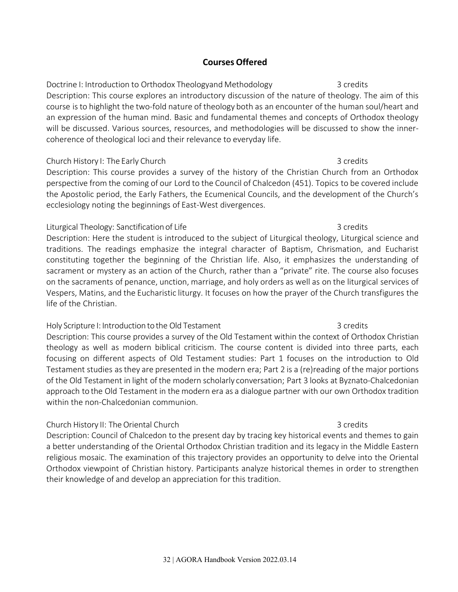#### **Courses Offered**

<span id="page-31-0"></span>Doctrine I: Introduction to Orthodox Theologyand Methodology 3 credits Description: This course explores an introductory discussion of the nature of theology. The aim of this course is to highlight the two-fold nature of theology both as an encounter of the human soul/heart and an expression of the human mind. Basic and fundamental themes and concepts of Orthodox theology will be discussed. Various sources, resources, and methodologies will be discussed to show the innercoherence of theological loci and their relevance to everyday life.

#### Church History I: The Early Church 3 credits 3 credits

Description: This course provides a survey of the history of the Christian Church from an Orthodox perspective from the coming of our Lord to the Council of Chalcedon (451). Topics to be covered include the Apostolic period, the Early Fathers, the Ecumenical Councils, and the development of the Church's ecclesiology noting the beginnings of East-West divergences.

#### Liturgical Theology: Sanctification of Life 3 credits 3 credits

Description: Here the student is introduced to the subject of Liturgical theology, Liturgical science and traditions. The readings emphasize the integral character of Baptism, Chrismation, and Eucharist constituting together the beginning of the Christian life. Also, it emphasizes the understanding of sacrament or mystery as an action of the Church, rather than a "private" rite. The course also focuses on the sacraments of penance, unction, marriage, and holy orders as well as on the liturgical services of Vespers, Matins, and the Eucharistic liturgy. It focuses on how the prayer of the Church transfigures the life of the Christian.

#### Holy Scripture I: Introduction to the Old Testament 3 credits 3 credits

Description: This course provides a survey of the Old Testament within the context of Orthodox Christian theology as well as modern biblical criticism. The course content is divided into three parts, each focusing on different aspects of Old Testament studies: Part 1 focuses on the introduction to Old Testament studies asthey are presented in the modern era; Part 2 is a (re)reading of the major portions of the Old Testament in light of the modern scholarly conversation; Part 3 looks at Byznato-Chalcedonian approach to the Old Testament in the modern era as a dialogue partner with our own Orthodox tradition within the non-Chalcedonian communion.

#### Church History II: The Oriental Church 3 credits 3 credits

Description: Council of Chalcedon to the present day by tracing key historical events and themes to gain a better understanding of the Oriental Orthodox Christian tradition and its legacy in the Middle Eastern religious mosaic. The examination of this trajectory provides an opportunity to delve into the Oriental Orthodox viewpoint of Christian history. Participants analyze historical themes in order to strengthen their knowledge of and develop an appreciation for this tradition.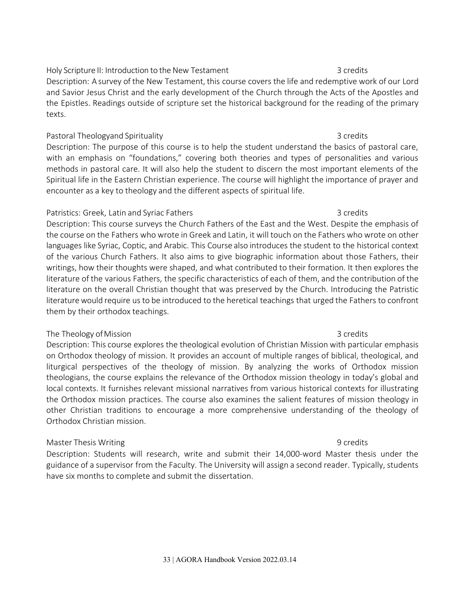#### Holy Scripture II: Introduction to the New Testament 3 credits 3 credits

Description: A survey of the New Testament, this course covers the life and redemptive work of our Lord and Savior Jesus Christ and the early development of the Church through the Acts of the Apostles and the Epistles. Readings outside of scripture set the historical background for the reading of the primary texts.

#### Pastoral Theologyand Spirituality 3 credits 3 credits

Description: The purpose of this course is to help the student understand the basics of pastoral care, with an emphasis on "foundations," covering both theories and types of personalities and various methods in pastoral care. It will also help the student to discern the most important elements of the Spiritual life in the Eastern Christian experience. The course will highlight the importance of prayer and encounter as a key to theology and the different aspects of spiritual life.

#### Patristics: Greek, Latin and Syriac Fathers 3 credits 3 credits

Description: This course surveys the Church Fathers of the East and the West. Despite the emphasis of the course on the Fathers who wrote in Greek and Latin, it will touch on the Fathers who wrote on other languages like Syriac, Coptic, and Arabic. This Course also introduces the student to the historical context of the various Church Fathers. It also aims to give biographic information about those Fathers, their writings, how their thoughts were shaped, and what contributed to their formation. It then explores the literature of the various Fathers, the specific characteristics of each of them, and the contribution of the literature on the overall Christian thought that was preserved by the Church. Introducing the Patristic literature would require us to be introduced to the heretical teachings that urged the Fathers to confront them by their orthodox teachings.

#### The Theology of Mission 3 credits 3 credits

Description: This course explores the theological evolution of Christian Mission with particular emphasis on Orthodox theology of mission. It provides an account of multiple ranges of biblical, theological, and liturgical perspectives of the theology of mission. By analyzing the works of Orthodox mission theologians, the course explains the relevance of the Orthodox mission theology in today's global and local contexts. It furnishes relevant missional narratives from various historical contexts for illustrating the Orthodox mission practices. The course also examines the salient features of mission theology in other Christian traditions to encourage a more comprehensive understanding of the theology of Orthodox Christian mission.

#### Master Thesis Writing **9 credits** 9 credits

Description: Students will research, write and submit their 14,000-word Master thesis under the guidance of a supervisor from the Faculty. The University will assign a second reader. Typically, students have six months to complete and submit the dissertation.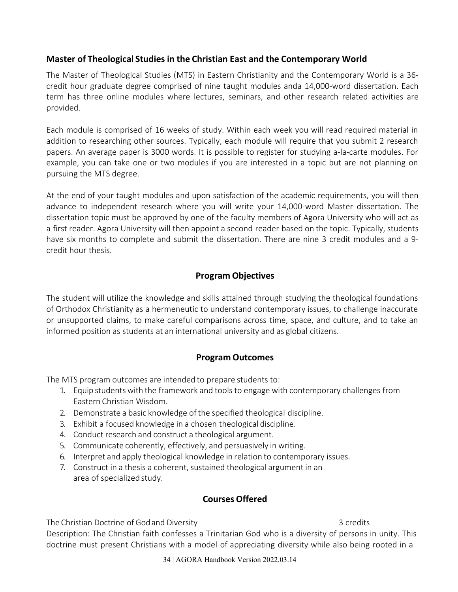#### <span id="page-33-0"></span>**Master of Theological Studies in the Christian East and the Contemporary World**

The Master of Theological Studies (MTS) in Eastern Christianity and the Contemporary World is a 36 credit hour graduate degree comprised of nine taught modules anda 14,000-word dissertation. Each term has three online modules where lectures, seminars, and other research related activities are provided.

Each module is comprised of 16 weeks of study. Within each week you will read required material in addition to researching other sources. Typically, each module will require that you submit 2 research papers. An average paper is 3000 words. It is possible to register for studying a-la-carte modules. For example, you can take one or two modules if you are interested in a topic but are not planning on pursuing the MTS degree.

At the end of your taught modules and upon satisfaction of the academic requirements, you will then advance to independent research where you will write your 14,000-word Master dissertation. The dissertation topic must be approved by one of the faculty members of Agora University who will act as a first reader. Agora University will then appoint a second reader based on the topic. Typically, students have six months to complete and submit the dissertation. There are nine 3 credit modules and a 9 credit hour thesis.

### **Program Objectives**

<span id="page-33-1"></span>The student will utilize the knowledge and skills attained through studying the theological foundations of Orthodox Christianity as a hermeneutic to understand contemporary issues, to challenge inaccurate or unsupported claims, to make careful comparisons across time, space, and culture, and to take an informed position as students at an international university and as global citizens.

### **Program Outcomes**

<span id="page-33-2"></span>The MTS program outcomes are intended to prepare students to:

- 1. Equip studentswith the framework and tools to engage with contemporary challenges from Eastern Christian Wisdom.
- 2. Demonstrate a basic knowledge of the specified theological discipline.
- 3. Exhibit a focused knowledge in a chosen theological discipline.
- 4. Conduct research and construct a theological argument.
- 5. Communicate coherently, effectively, and persuasively in writing.
- 6. Interpret and apply theological knowledge in relation to contemporary issues.
- 7. Construct in a thesis a coherent, sustained theological argument in an area of specialized study.

### **Courses Offered**

<span id="page-33-3"></span>The Christian Doctrine of God and Diversity 3 credits 3 credits

Description: The Christian faith confesses a Trinitarian God who is a diversity of persons in unity. This doctrine must present Christians with a model of appreciating diversity while also being rooted in a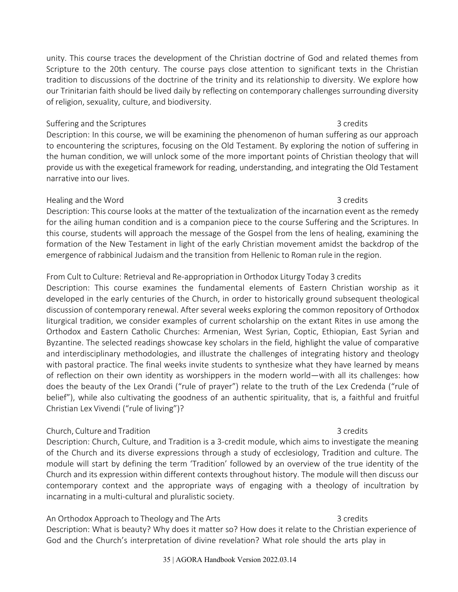unity. This course traces the development of the Christian doctrine of God and related themes from Scripture to the 20th century. The course pays close attention to significant texts in the Christian tradition to discussions of the doctrine of the trinity and its relationship to diversity. We explore how our Trinitarian faith should be lived daily by reflecting on contemporary challenges surrounding diversity of religion, sexuality, culture, and biodiversity.

#### Suffering and the Scriptures 3 credits 3 credits

Description: In this course, we will be examining the phenomenon of human suffering as our approach to encountering the scriptures, focusing on the Old Testament. By exploring the notion of suffering in the human condition, we will unlock some of the more important points of Christian theology that will provide us with the exegetical framework for reading, understanding, and integrating the Old Testament narrative into our lives.

#### Healing and the Word 3 credits

Description: This course looks at the matter of the textualization of the incarnation event as the remedy for the ailing human condition and is a companion piece to the course Suffering and the Scriptures. In this course, students will approach the message of the Gospel from the lens of healing, examining the formation of the New Testament in light of the early Christian movement amidst the backdrop of the emergence of rabbinical Judaism and the transition from Hellenic to Roman rule in the region.

### From Cult to Culture: Retrieval and Re-appropriation in Orthodox Liturgy Today 3 credits

Description: This course examines the fundamental elements of Eastern Christian worship as it developed in the early centuries of the Church, in order to historically ground subsequent theological discussion of contemporary renewal. After several weeks exploring the common repository of Orthodox liturgical tradition, we consider examples of current scholarship on the extant Rites in use among the Orthodox and Eastern Catholic Churches: Armenian, West Syrian, Coptic, Ethiopian, East Syrian and Byzantine. The selected readings showcase key scholars in the field, highlight the value of comparative and interdisciplinary methodologies, and illustrate the challenges of integrating history and theology with pastoral practice. The final weeks invite students to synthesize what they have learned by means of reflection on their own identity as worshippers in the modern world—with all its challenges: how does the beauty of the Lex Orandi ("rule of prayer") relate to the truth of the Lex Credenda ("rule of belief"), while also cultivating the goodness of an authentic spirituality, that is, a faithful and fruitful Christian Lex Vivendi ("rule of living")?

#### Church, Culture and Tradition 3 credits 3 credits

Description: Church, Culture, and Tradition is a 3-credit module, which aims to investigate the meaning of the Church and its diverse expressions through a study of ecclesiology, Tradition and culture. The module will start by defining the term 'Tradition' followed by an overview of the true identity of the Church and its expression within different contexts throughout history. The module will then discuss our contemporary context and the appropriate ways of engaging with a theology of incultration by incarnating in a multi-cultural and pluralistic society.

#### An Orthodox Approach to Theology and The Arts 3 credits 3 credits Description: What is beauty? Why does it matter so? How does it relate to the Christian experience of

God and the Church's interpretation of divine revelation? What role should the arts play in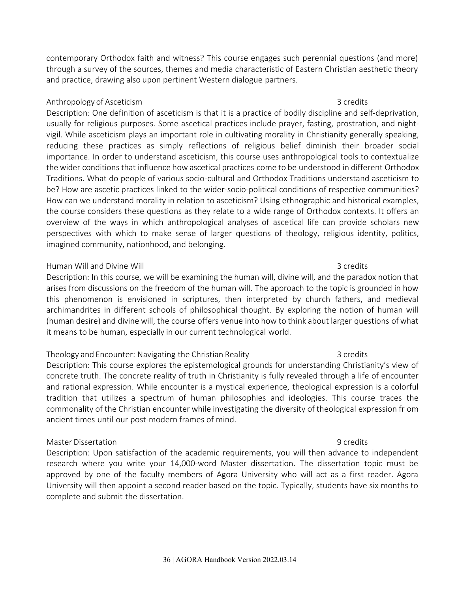contemporary Orthodox faith and witness? This course engages such perennial questions (and more) through a survey of the sources, themes and media characteristic of Eastern Christian aesthetic theory and practice, drawing also upon pertinent Western dialogue partners.

#### Anthropology of Asceticism 3 credits 3 credits

Description: One definition of asceticism is that it is a practice of bodily discipline and self-deprivation, usually for religious purposes. Some ascetical practices include prayer, fasting, prostration, and nightvigil. While asceticism plays an important role in cultivating morality in Christianity generally speaking, reducing these practices as simply reflections of religious belief diminish their broader social importance. In order to understand asceticism, this course uses anthropological tools to contextualize the wider conditions that influence how ascetical practices come to be understood in different Orthodox Traditions. What do people of various socio-cultural and Orthodox Traditions understand asceticism to be? How are ascetic practices linked to the wider-socio-political conditions of respective communities? How can we understand morality in relation to asceticism? Using ethnographic and historical examples, the course considers these questions as they relate to a wide range of Orthodox contexts. It offers an overview of the ways in which anthropological analyses of ascetical life can provide scholars new perspectives with which to make sense of larger questions of theology, religious identity, politics, imagined community, nationhood, and belonging.

#### Human Will and Divine Will 3 credits and Divine Will 3 credits and Divine Will 3 credits

Description: In this course, we will be examining the human will, divine will, and the paradox notion that arises from discussions on the freedom of the human will. The approach to the topic is grounded in how this phenomenon is envisioned in scriptures, then interpreted by church fathers, and medieval archimandrites in different schools of philosophical thought. By exploring the notion of human will (human desire) and divine will, the course offers venue into how to think about larger questions ofwhat it means to be human, especially in our current technological world.

#### Theology and Encounter: Navigating the Christian Reality **3** credits 3 credits

Description: This course explores the epistemological grounds for understanding Christianity's view of concrete truth. The concrete reality of truth in Christianity is fully revealed through a life of encounter and rational expression. While encounter is a mystical experience, theological expression is a colorful tradition that utilizes a spectrum of human philosophies and ideologies. This course traces the commonality of the Christian encounter while investigating the diversity of theological expression fr om ancient times until our post-modern frames of mind.

#### Master Dissertation 9 credits

Description: Upon satisfaction of the academic requirements, you will then advance to independent research where you write your 14,000-word Master dissertation. The dissertation topic must be approved by one of the faculty members of Agora University who will act as a first reader. Agora University will then appoint a second reader based on the topic. Typically, students have six months to complete and submit the dissertation.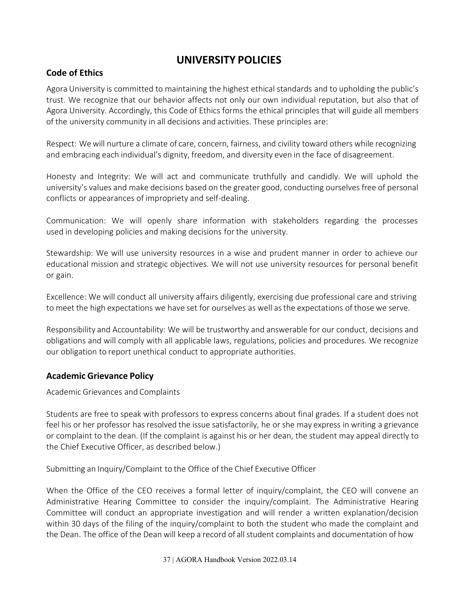# **UNIVERSITY POLICIES**

#### <span id="page-36-0"></span>**Code of Ethics**

Agora University is committed to maintaining the highest ethical standards and to upholding the public's trust. We recognize that our behavior affects not only our own individual reputation, but also that of Agora University. Accordingly, this Code of Ethics forms the ethical principles that will guide all members of the university community in all decisions and activities. These principles are:

Respect: Wewill nurture a climate of care, concern, fairness, and civility toward others while recognizing and embracing each individual's dignity, freedom, and diversity even in the face of disagreement.

Honesty and Integrity: We will act and communicate truthfully and candidly. We will uphold the university's values and make decisions based on the greater good, conducting ourselvesfree of personal conflicts or appearances of impropriety and self-dealing.

Communication: We will openly share information with stakeholders regarding the processes used in developing policies and making decisions for the university.

Stewardship: We will use university resources in a wise and prudent manner in order to achieve our educational mission and strategic objectives. We will not use university resources for personal benefit or gain.

Excellence: We will conduct all university affairs diligently, exercising due professional care and striving to meet the high expectations we have set for ourselves as well asthe expectations of those we serve.

Responsibility and Accountability: We will be trustworthy and answerable for our conduct, decisions and obligations and will comply with all applicable laws, regulations, policies and procedures. We recognize our obligation to report unethical conduct to appropriate authorities.

#### <span id="page-36-1"></span>**Academic Grievance Policy**

Academic Grievances and Complaints

Students are free to speak with professors to express concerns about final grades. If a student does not feel his or her professor has resolved the issue satisfactorily, he or she may express in writing a grievance or complaint to the dean. (If the complaint is against his or her dean, the student may appeal directly to the Chief Executive Officer, as described below.)

Submitting an Inquiry/Complaint to the Office of the Chief Executive Officer

When the Office of the CEO receives a formal letter of inquiry/complaint, the CEO will convene an Administrative Hearing Committee to consider the inquiry/complaint. The Administrative Hearing Committee will conduct an appropriate investigation and will render a written explanation/decision within 30 days of the filing of the inquiry/complaint to both the student who made the complaint and the Dean. The office of the Dean will keep a record of all student complaints and documentation of how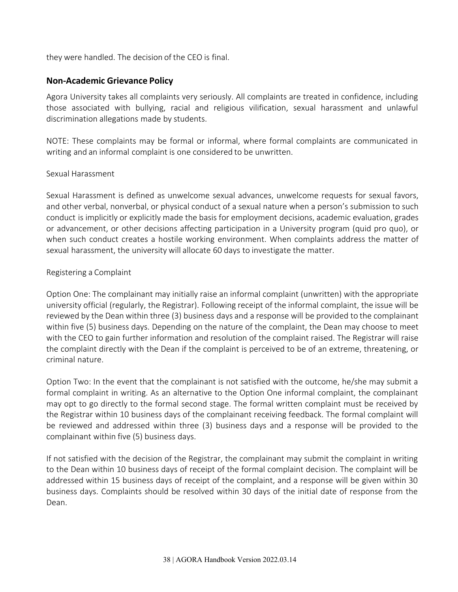they were handled. The decision of the CEO is final.

#### <span id="page-37-0"></span>**Non-Academic Grievance Policy**

Agora University takes all complaints very seriously. All complaints are treated in confidence, including those associated with bullying, racial and religious vilification, sexual harassment and unlawful discrimination allegations made by students.

NOTE: These complaints may be formal or informal, where formal complaints are communicated in writing and an informal complaint is one considered to be unwritten.

#### Sexual Harassment

Sexual Harassment is defined as unwelcome sexual advances, unwelcome requests for sexual favors, and other verbal, nonverbal, or physical conduct of a sexual nature when a person's submission to such conduct is implicitly or explicitly made the basis for employment decisions, academic evaluation, grades or advancement, or other decisions affecting participation in a University program (quid pro quo), or when such conduct creates a hostile working environment. When complaints address the matter of sexual harassment, the university will allocate 60 days to investigate the matter.

#### Registering a Complaint

Option One: The complainant may initially raise an informal complaint (unwritten) with the appropriate university official (regularly, the Registrar). Following receipt of the informal complaint, the issue will be reviewed by the Dean within three (3) business days and a response will be provided to the complainant within five (5) business days. Depending on the nature of the complaint, the Dean may choose to meet with the CEO to gain further information and resolution of the complaint raised. The Registrar will raise the complaint directly with the Dean if the complaint is perceived to be of an extreme, threatening, or criminal nature.

Option Two: In the event that the complainant is not satisfied with the outcome, he/she may submit a formal complaint in writing. As an alternative to the Option One informal complaint, the complainant may opt to go directly to the formal second stage. The formal written complaint must be received by the Registrar within 10 business days of the complainant receiving feedback. The formal complaint will be reviewed and addressed within three (3) business days and a response will be provided to the complainant within five (5) business days.

If not satisfied with the decision of the Registrar, the complainant may submit the complaint in writing to the Dean within 10 business days of receipt of the formal complaint decision. The complaint will be addressed within 15 business days of receipt of the complaint, and a response will be given within 30 business days. Complaints should be resolved within 30 days of the initial date of response from the Dean.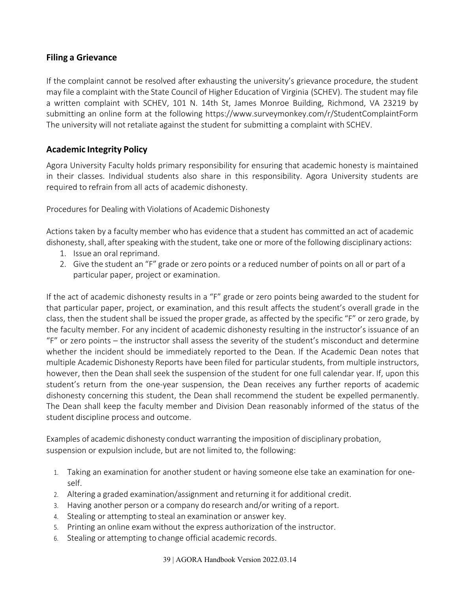#### <span id="page-38-0"></span>**Filing a Grievance**

If the complaint cannot be resolved after exhausting the university's grievance procedure, the student may file a complaint with the State Council of Higher Education of Virginia (SCHEV). The student may file a written complaint with SCHEV, 101 N. 14th St, James Monroe Building, Richmond, VA 23219 by submitting an online form at the following<https://www.surveymonkey.com/r/StudentComplaintForm> The university will not retaliate against the student for submitting a complaint with SCHEV.

#### <span id="page-38-1"></span>**Academic Integrity Policy**

Agora University Faculty holds primary responsibility for ensuring that academic honesty is maintained in their classes. Individual students also share in this responsibility. Agora University students are required to refrain from all acts of academic dishonesty.

Procedures for Dealing with Violations of Academic Dishonesty

Actions taken by a faculty member who has evidence that a student has committed an act of academic dishonesty, shall, after speaking with the student, take one or more of the following disciplinary actions:

- 1. Issue an oral reprimand.
- 2. Give the student an "F" grade or zero points or a reduced number of points on all or part of a particular paper, project or examination.

If the act of academic dishonesty results in a "F" grade or zero points being awarded to the student for that particular paper, project, or examination, and this result affects the student's overall grade in the class, then the student shall be issued the proper grade, as affected by the specific "F" or zero grade, by the faculty member. For any incident of academic dishonesty resulting in the instructor's issuance of an "F" or zero points – the instructor shall assess the severity of the student's misconduct and determine whether the incident should be immediately reported to the Dean. If the Academic Dean notes that multiple Academic Dishonesty Reports have been filed for particular students, from multiple instructors, however, then the Dean shall seek the suspension of the student for one full calendar year. If, upon this student's return from the one-year suspension, the Dean receives any further reports of academic dishonesty concerning this student, the Dean shall recommend the student be expelled permanently. The Dean shall keep the faculty member and Division Dean reasonably informed of the status of the student discipline process and outcome.

Examples of academic dishonesty conduct warranting the imposition of disciplinary probation, suspension or expulsion include, but are not limited to, the following:

- 1. Taking an examination for another student or having someone else take an examination for oneself.
- 2. Altering a graded examination/assignment and returning it for additional credit.
- 3. Having another person or a company do research and/or writing of a report.
- 4. Stealing or attempting to steal an examination or answer key.
- 5. Printing an online exam without the express authorization of the instructor.
- 6. Stealing or attempting to change official academic records.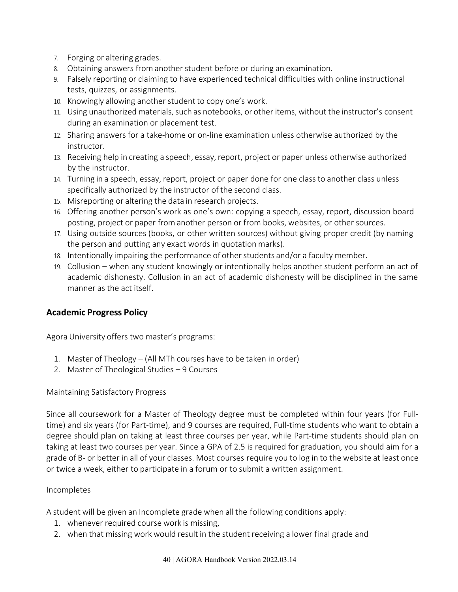- 7. Forging or altering grades.
- 8. Obtaining answers from another student before or during an examination.
- 9. Falsely reporting or claiming to have experienced technical difficulties with online instructional tests, quizzes, or assignments.
- 10. Knowingly allowing another student to copy one's work.
- 11. Using unauthorized materials, such as notebooks, or other items,without the instructor's consent during an examination or placement test.
- 12. Sharing answers for a take-home or on-line examination unless otherwise authorized by the instructor.
- 13. Receiving help in creating a speech, essay, report, project or paper unless otherwise authorized by the instructor.
- 14. Turning in a speech, essay, report, project or paper done for one class to another class unless specifically authorized by the instructor of the second class.
- 15. Misreporting or altering the data in research projects.
- 16. Offering another person's work as one's own: copying a speech, essay, report, discussion board posting, project or paper from another person or from books, websites, or other sources.
- 17. Using outside sources (books, or other written sources) without giving proper credit (by naming the person and putting any exact words in quotation marks).
- 18. Intentionally impairing the performance of otherstudents and/or a faculty member.
- 19. Collusion when any student knowingly or intentionally helps another student perform an act of academic dishonesty. Collusion in an act of academic dishonesty will be disciplined in the same manner as the act itself.

#### <span id="page-39-0"></span>**Academic Progress Policy**

Agora University offers two master's programs:

- 1. Master of Theology (All MTh courses have to be taken in order)
- 2. Master of Theological Studies 9 Courses

#### Maintaining Satisfactory Progress

Since all coursework for a Master of Theology degree must be completed within four years (for Fulltime) and six years (for Part-time), and 9 courses are required, Full-time students who want to obtain a degree should plan on taking at least three courses per year, while Part-time students should plan on taking at least two courses per year. Since a GPA of 2.5 is required for graduation, you should aim for a grade of B- or better in all of your classes. Most courses require you to log in to the website at least once or twice a week, either to participate in a forum or to submit a written assignment.

#### Incompletes

A student will be given an Incomplete grade when all the following conditions apply:

- 1. whenever required course work is missing,
- 2. when that missing work would result in the student receiving a lower final grade and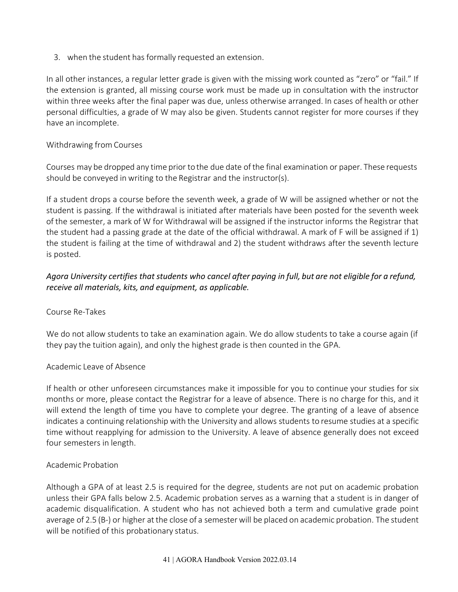3. when the student has formally requested an extension.

In all other instances, a regular letter grade is given with the missing work counted as "zero" or "fail." If the extension is granted, all missing course work must be made up in consultation with the instructor within three weeks after the final paper was due, unless otherwise arranged. In cases of health or other personal difficulties, a grade of W may also be given. Students cannot register for more courses if they have an incomplete.

#### Withdrawing from Courses

Courses may be dropped any time prior tothe due date of the final examination or paper. These requests should be conveyed in writing to the Registrar and the instructor(s).

If a student drops a course before the seventh week, a grade of W will be assigned whether or not the student is passing. If the withdrawal is initiated after materials have been posted for the seventh week of the semester, a mark of W for Withdrawal will be assigned if the instructor informs the Registrar that the student had a passing grade at the date of the official withdrawal. A mark of F will be assigned if 1) the student is failing at the time of withdrawal and 2) the student withdraws after the seventh lecture is posted.

#### *Agora University certifies that students who cancel after paying in full, but are not eligible for a refund, receive all materials, kits, and equipment, as applicable.*

#### Course Re-Takes

We do not allow students to take an examination again. We do allow students to take a course again (if they pay the tuition again), and only the highest grade is then counted in the GPA.

#### Academic Leave of Absence

If health or other unforeseen circumstances make it impossible for you to continue your studies for six months or more, please contact the Registrar for a leave of absence. There is no charge for this, and it will extend the length of time you have to complete your degree. The granting of a leave of absence indicates a continuing relationship with the University and allows students to resume studies at a specific time without reapplying for admission to the University. A leave of absence generally does not exceed four semesters in length.

#### Academic Probation

Although a GPA of at least 2.5 is required for the degree, students are not put on academic probation unless their GPA falls below 2.5. Academic probation serves as a warning that a student is in danger of academic disqualification. A student who has not achieved both a term and cumulative grade point average of 2.5 (B-) or higher at the close of a semesterwill be placed on academic probation. The student will be notified of this probationary status.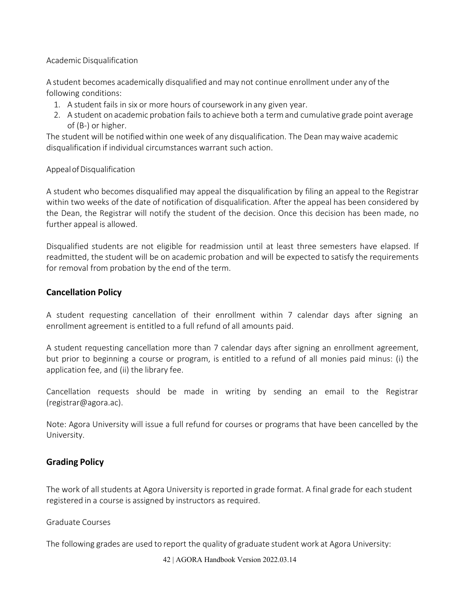#### Academic Disqualification

A student becomes academically disqualified and may not continue enrollment under any of the following conditions:

- 1. A student fails in six or more hours of coursework in any given year.
- 2. A student on academic probation fails to achieve both a termand cumulative grade point average of (B-) or higher.

The student will be notifiedwithin one week of any disqualification. The Dean maywaive academic disqualification if individual circumstances warrant such action.

#### Appeal of Disqualification

A student who becomes disqualified may appeal the disqualification by filing an appeal to the Registrar within two weeks of the date of notification of disqualification. After the appeal has been considered by the Dean, the Registrar will notify the student of the decision. Once this decision has been made, no further appeal is allowed.

Disqualified students are not eligible for readmission until at least three semesters have elapsed. If readmitted, the student will be on academic probation and will be expected to satisfy the requirements for removal from probation by the end of the term.

#### <span id="page-41-0"></span>**Cancellation Policy**

A student requesting cancellation of their enrollment within 7 calendar days after signing an enrollment agreement is entitled to a full refund of all amounts paid.

A student requesting cancellation more than 7 calendar days after signing an enrollment agreement, but prior to beginning a course or program, is entitled to a refund of all monies paid minus: (i) the application fee, and (ii) the library fee.

Cancellation requests should be made in writing by sending an email to the Registrar [\(registrar@agora.ac\)](mailto:registrar@agora.ac).

Note: Agora University will issue a full refund for courses or programs that have been cancelled by the University.

#### <span id="page-41-1"></span>**Grading Policy**

The work of all students at Agora University is reported in grade format. A final grade for each student registered in a course is assigned by instructors as required.

Graduate Courses

The following grades are used to report the quality of graduate student work at Agora University: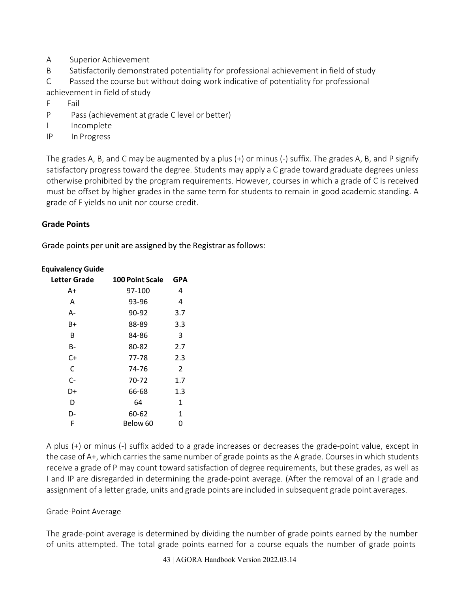- A Superior Achievement
- B Satisfactorily demonstrated potentiality for professional achievement in field of study

C Passed the course but without doing work indicative of potentiality for professional achievement in field of study

- F Fail
- P Pass (achievement at grade C level or better)
- I Incomplete
- IP In Progress

The grades A, B, and C may be augmented by a plus (+) or minus (-) suffix. The grades A, B, and P signify satisfactory progress toward the degree. Students may apply a C grade toward graduate degrees unless otherwise prohibited by the program requirements. However, courses in which a grade of C is received must be offset by higher grades in the same term for students to remain in good academic standing. A grade of F yields no unit nor course credit.

#### **Grade Points**

Grade points per unit are assigned by the Registrar as follows:

| Letter Grade | <b>100 Point Scale</b> | GPA            |
|--------------|------------------------|----------------|
| A+           | 97-100                 | 4              |
| Α            | 93-96                  | 4              |
| А-           | 90-92                  | 3.7            |
| B+           | 88-89                  | 3.3            |
| В            | 84-86                  | 3              |
| В-           | 80-82                  | 2.7            |
| C+           | 77-78                  | 2.3            |
| C            | 74-76                  | $\overline{2}$ |
| $C -$        | 70-72                  | 1.7            |
| D+           | 66-68                  | 1.3            |
| D            | 64                     | 1              |
| D-           | 60-62                  | 1              |
| F            | Below 60               | 0              |

#### **Equivalency Guide**

A plus (+) or minus (-) suffix added to a grade increases or decreases the grade-point value, except in the case of A+, which carries the same number of grade points as the A grade. Courses in which students receive a grade of P may count toward satisfaction of degree requirements, but these grades, as well as I and IP are disregarded in determining the grade-point average. (After the removal of an I grade and assignment of a letter grade, units and grade points are included in subsequent grade point averages.

#### Grade-Point Average

The grade-point average is determined by dividing the number of grade points earned by the number of units attempted. The total grade points earned for a course equals the number of grade points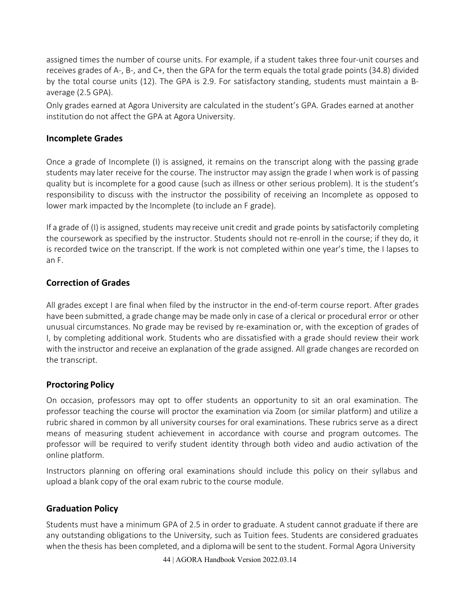assigned times the number of course units. For example, if a student takes three four-unit courses and receives grades of A-, B-, and C+, then the GPA for the term equals the total grade points (34.8) divided by the total course units (12). The GPA is 2.9. For satisfactory standing, students must maintain a Baverage (2.5 GPA).

Only grades earned at Agora University are calculated in the student's GPA. Grades earned at another institution do not affect the GPA at Agora University.

#### **Incomplete Grades**

Once a grade of Incomplete (I) is assigned, it remains on the transcript along with the passing grade students may later receive for the course. The instructor may assign the grade I when work is of passing quality but is incomplete for a good cause (such as illness or other serious problem). It is the student's responsibility to discuss with the instructor the possibility of receiving an Incomplete as opposed to lower mark impacted by the Incomplete (to include an F grade).

If a grade of (I) is assigned, students may receive unit credit and grade points by satisfactorily completing the coursework as specified by the instructor. Students should not re-enroll in the course; if they do, it is recorded twice on the transcript. If the work is not completed within one year's time, the I lapses to an F.

#### **Correction of Grades**

All grades except I are final when filed by the instructor in the end-of-term course report. After grades have been submitted, a grade change may be made only in case of a clerical or procedural error or other unusual circumstances. No grade may be revised by re-examination or, with the exception of grades of I, by completing additional work. Students who are dissatisfied with a grade should review their work with the instructor and receive an explanation of the grade assigned. All grade changes are recorded on the transcript.

#### <span id="page-43-0"></span>**Proctoring Policy**

On occasion, professors may opt to offer students an opportunity to sit an oral examination. The professor teaching the course will proctor the examination via Zoom (or similar platform) and utilize a rubric shared in common by all university courses for oral examinations. These rubrics serve as a direct means of measuring student achievement in accordance with course and program outcomes. The professor will be required to verify student identity through both video and audio activation of the online platform.

Instructors planning on offering oral examinations should include this policy on their syllabus and upload a blank copy of the oral exam rubric to the course module.

### **Graduation Policy**

Students must have a minimum GPA of 2.5 in order to graduate. A student cannot graduate if there are any outstanding obligations to the University, such as Tuition fees. Students are considered graduates when the thesis has been completed, and a diplomawill be sent to the student. Formal Agora University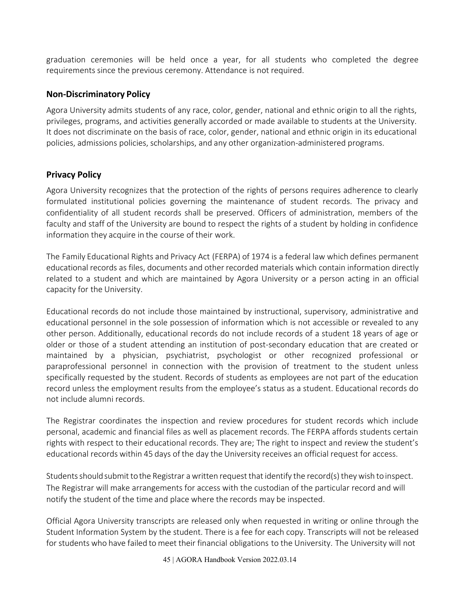graduation ceremonies will be held once a year, for all students who completed the degree requirements since the previous ceremony. Attendance is not required.

#### <span id="page-44-0"></span>**Non-Discriminatory Policy**

<span id="page-44-1"></span>Agora University admits students of any race, color, gender, national and ethnic origin to all the rights, privileges, programs, and activities generally accorded or made available to students at the University. It does not discriminate on the basis of race, color, gender, national and ethnic origin in its educational policies, admissions policies, scholarships, and any other organization-administered programs.

#### **Privacy Policy**

Agora University recognizes that the protection of the rights of persons requires adherence to clearly formulated institutional policies governing the maintenance of student records. The privacy and confidentiality of all student records shall be preserved. Officers of administration, members of the faculty and staff of the University are bound to respect the rights of a student by holding in confidence information they acquire in the course of their work.

The Family Educational Rights and Privacy Act (FERPA) of 1974 is a federal law which defines permanent educational records as files, documents and other recorded materials which contain information directly related to a student and which are maintained by Agora University or a person acting in an official capacity for the University.

Educational records do not include those maintained by instructional, supervisory, administrative and educational personnel in the sole possession of information which is not accessible or revealed to any other person. Additionally, educational records do not include records of a student 18 years of age or older or those of a student attending an institution of post-secondary education that are created or maintained by a physician, psychiatrist, psychologist or other recognized professional or paraprofessional personnel in connection with the provision of treatment to the student unless specifically requested by the student. Records of students as employees are not part of the education record unless the employment results from the employee's status as a student. Educational records do not include alumni records.

The Registrar coordinates the inspection and review procedures for student records which include personal, academic and financial files as well as placement records. The FERPA affords students certain rights with respect to their educational records. They are; The right to inspect and review the student's educational records within 45 days of the day the University receives an official request for access.

Students should submit to the Registrar a written request that identify the record(s) they wish to inspect. The Registrar will make arrangements for access with the custodian of the particular record and will notify the student of the time and place where the records may be inspected.

Official Agora University transcripts are released only when requested in writing or online through the Student Information System by the student. There is a fee for each copy. Transcripts will not be released for students who have failed to meet their financial obligations to the University. The University will not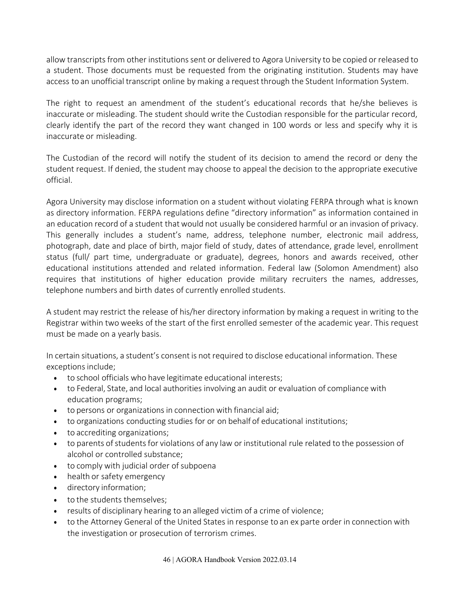allow transcripts from other institutions sent or delivered to Agora University to be copied or released to a student. Those documents must be requested from the originating institution. Students may have access to an unofficial transcript online by making a request through the Student Information System.

The right to request an amendment of the student's educational records that he/she believes is inaccurate or misleading. The student should write the Custodian responsible for the particular record, clearly identify the part of the record they want changed in 100 words or less and specify why it is inaccurate or misleading.

The Custodian of the record will notify the student of its decision to amend the record or deny the student request. If denied, the student may choose to appeal the decision to the appropriate executive official.

Agora University may disclose information on a student without violating FERPA through what is known as directory information. FERPA regulations define "directory information" as information contained in an education record of a student that would not usually be considered harmful or an invasion of privacy. This generally includes a student's name, address, telephone number, electronic mail address, photograph, date and place of birth, major field of study, dates of attendance, grade level, enrollment status (full/ part time, undergraduate or graduate), degrees, honors and awards received, other educational institutions attended and related information. Federal law (Solomon Amendment) also requires that institutions of higher education provide military recruiters the names, addresses, telephone numbers and birth dates of currently enrolled students.

A student may restrict the release of his/her directory information by making a request in writing to the Registrar within two weeks of the start of the first enrolled semester of the academic year. This request must be made on a yearly basis.

In certain situations, a student's consent is not required to disclose educational information. These exceptions include;

- to school officials who have legitimate educational interests;
- to Federal, State, and local authorities involving an audit or evaluation of compliance with education programs;
- to persons or organizations in connection with financial aid;
- to organizations conducting studies for or on behalf of educational institutions;
- to accrediting organizations;
- to parents of students for violations of any law or institutional rule related to the possession of alcohol or controlled substance;
- to comply with judicial order of subpoena
- health or safety emergency
- directory information;
- to the students themselves;
- results of disciplinary hearing to an alleged victim of a crime of violence;
- to the Attorney General of the United States in response to an ex parte order in connection with the investigation or prosecution of terrorism crimes.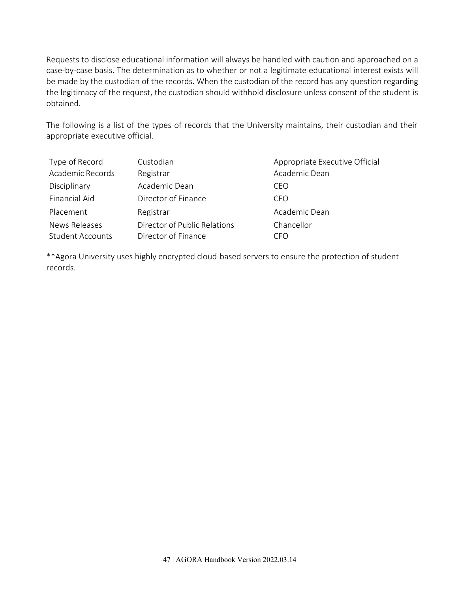Requests to disclose educational information will always be handled with caution and approached on a case-by-case basis. The determination as to whether or not a legitimate educational interest exists will be made by the custodian of the records. When the custodian of the record has any question regarding the legitimacy of the request, the custodian should withhold disclosure unless consent of the student is obtained.

The following is a list of the types of records that the University maintains, their custodian and their appropriate executive official.

| Type of Record          | Custodian                    | Appropriate Executive Official |
|-------------------------|------------------------------|--------------------------------|
| Academic Records        | Registrar                    | Academic Dean                  |
| Disciplinary            | Academic Dean                | CEO                            |
| <b>Financial Aid</b>    | Director of Finance          | CFO                            |
| Placement               | Registrar                    | Academic Dean                  |
| News Releases           | Director of Public Relations | Chancellor                     |
| <b>Student Accounts</b> | Director of Finance          | CFO                            |

\*\*Agora University uses highly encrypted cloud-based servers to ensure the protection of student records.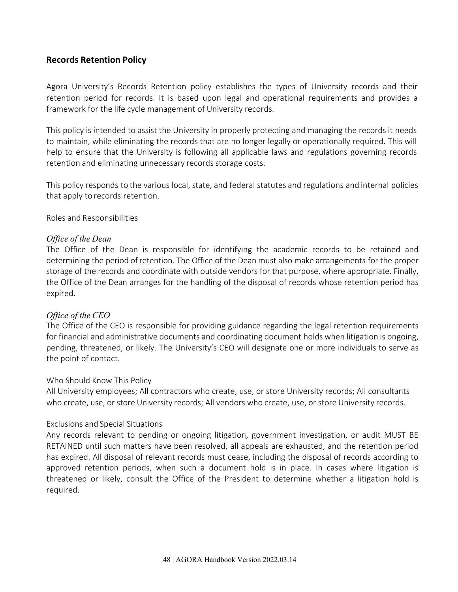#### <span id="page-47-0"></span>**Records Retention Policy**

Agora University's Records Retention policy establishes the types of University records and their retention period for records. It is based upon legal and operational requirements and provides a framework for the life cycle management of University records.

This policy is intended to assist the University in properly protecting and managing the records it needs to maintain, while eliminating the records that are no longer legally or operationally required. This will help to ensure that the University is following all applicable laws and regulations governing records retention and eliminating unnecessary records storage costs.

This policy responds to the various local, state, and federal statutes and regulations and internal policies that apply to records retention.

Roles and Responsibilities

#### *Office of the Dean*

The Office of the Dean is responsible for identifying the academic records to be retained and determining the period ofretention. The Office of the Dean must also make arrangements for the proper storage of the records and coordinate with outside vendors for that purpose, where appropriate. Finally, the Office of the Dean arranges for the handling of the disposal of records whose retention period has expired.

#### *Office of the CEO*

The Office of the CEO is responsible for providing guidance regarding the legal retention requirements for financial and administrative documents and coordinating document holds when litigation is ongoing, pending, threatened, or likely. The University's CEO will designate one or more individuals to serve as the point of contact.

#### Who Should Know This Policy

All University employees; All contractors who create, use, or store University records; All consultants who create, use, or store University records; All vendors who create, use, or store University records.

#### Exclusions and Special Situations

Any records relevant to pending or ongoing litigation, government investigation, or audit MUST BE RETAINED until such matters have been resolved, all appeals are exhausted, and the retention period has expired. All disposal of relevant records must cease, including the disposal of records according to approved retention periods, when such a document hold is in place. In cases where litigation is threatened or likely, consult the Office of the President to determine whether a litigation hold is required.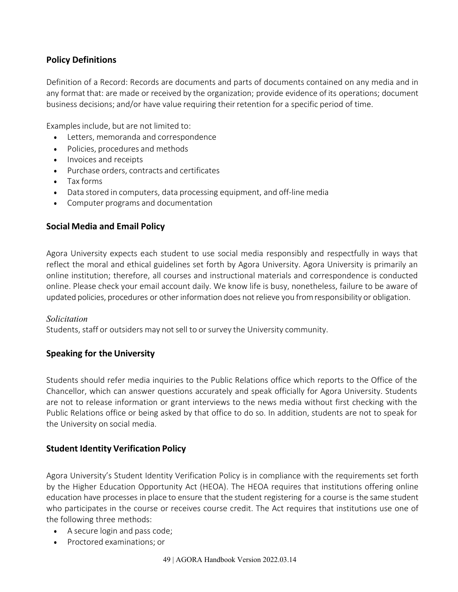#### **Policy Definitions**

Definition of a Record: Records are documents and parts of documents contained on any media and in any format that: are made or received by the organization; provide evidence of its operations; document business decisions; and/or have value requiring theirretention for a specific period of time.

Examples include, but are not limited to:

- Letters, memoranda and correspondence
- Policies, procedures and methods
- Invoices and receipts
- Purchase orders, contracts and certificates
- Tax forms
- Data stored in computers, data processing equipment, and off-line media
- Computer programs and documentation

#### <span id="page-48-0"></span>**Social Media and Email Policy**

Agora University expects each student to use social media responsibly and respectfully in ways that reflect the moral and ethical guidelines set forth by Agora University. Agora University is primarily an online institution; therefore, all courses and instructional materials and correspondence is conducted online. Please check your email account daily. We know life is busy, nonetheless, failure to be aware of updated policies, procedures or otherinformation does notrelieve you fromresponsibility or obligation.

#### *Solicitation*

Students, staff or outsiders may not sell to or survey the University community.

#### <span id="page-48-1"></span>**Speaking for the University**

Students should refer media inquiries to the Public Relations office which reports to the Office of the Chancellor, which can answer questions accurately and speak officially for Agora University. Students are not to release information or grant interviews to the news media without first checking with the Public Relations office or being asked by that office to do so. In addition, students are not to speak for the University on social media.

#### <span id="page-48-2"></span>**Student Identity Verification Policy**

Agora University's Student Identity Verification Policy is in compliance with the requirements set forth by the Higher Education Opportunity Act (HEOA). The HEOA requires that institutions offering online education have processes in place to ensure that the student registering for a course is the same student who participates in the course or receives course credit. The Act requires that institutions use one of the following three methods:

- A secure login and pass code;
- Proctored examinations; or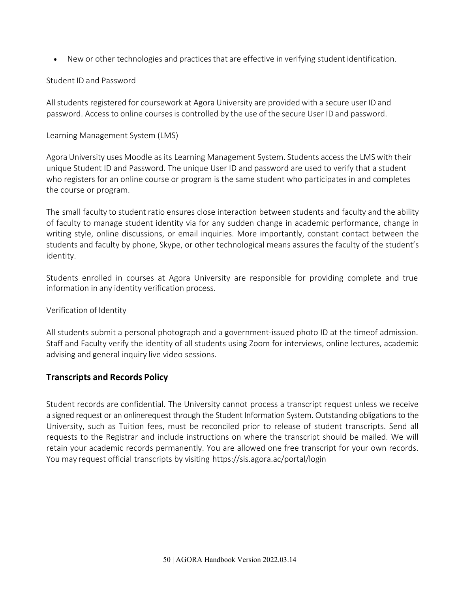• New or other technologies and practices that are effective in verifying student identification.

#### Student ID and Password

All students registered for coursework at Agora University are providedwith a secure user ID and password. Access to online coursesis controlled by the use of the secure User ID and password.

#### Learning Management System (LMS)

Agora University uses Moodle as its Learning Management System. Students access the LMS with their unique Student ID and Password. The unique User ID and password are used to verify that a student who registers for an online course or program is the same student who participates in and completes the course or program.

The small faculty to student ratio ensures close interaction between students and faculty and the ability of faculty to manage student identity via for any sudden change in academic performance, change in writing style, online discussions, or email inquiries. More importantly, constant contact between the students and faculty by phone, Skype, or other technological means assures the faculty of the student's identity.

Students enrolled in courses at Agora University are responsible for providing complete and true information in any identity verification process.

#### Verification of Identity

All students submit a personal photograph and a government-issued photo ID at the timeof admission. Staff and Faculty verify the identity of all students using Zoom for interviews, online lectures, academic advising and general inquiry live video sessions.

#### <span id="page-49-0"></span>**Transcripts and Records Policy**

Student records are confidential. The University cannot process a transcript request unless we receive a signed request or an onlinerequest through the Student Information System. Outstanding obligations to the University, such as Tuition fees, must be reconciled prior to release of student transcripts. Send all requests to the Registrar and include instructions on where the transcript should be mailed. We will retain your academic records permanently. You are allowed one free transcript for your own records. You may request official transcripts by visiting https://sis.agora.ac/portal/login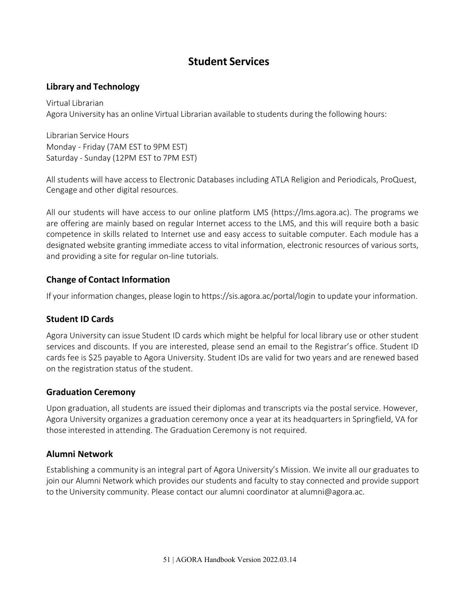# **Student Services**

#### <span id="page-50-1"></span><span id="page-50-0"></span>**Library and Technology**

Virtual Librarian Agora University has an online Virtual Librarian available to students during the following hours:

Librarian Service Hours Monday - Friday (7AM EST to 9PM EST) Saturday - Sunday (12PM EST to 7PM EST)

All students will have access to Electronic Databases including ATLA Religion and Periodicals, ProQuest, Cengage and other digital resources.

All our students will have access to our online platform LMS (https://lms.agora.ac). The programs we are offering are mainly based on regular Internet access to the LMS, and this will require both a basic competence in skills related to Internet use and easy access to suitable computer. Each module has a designated website granting immediate access to vital information, electronic resources of various sorts, and providing a site for regular on-line tutorials.

### <span id="page-50-2"></span>**Change of Contact Information**

If your information changes, please login to https://sis.agora.ac/portal/login to update your information.

#### <span id="page-50-3"></span>**Student ID Cards**

Agora University can issue Student ID cards which might be helpful for local library use or other student services and discounts. If you are interested, please send an email to the Registrar's office. Student ID cards fee is \$25 payable to Agora University. Student IDs are valid for two years and are renewed based on the registration status of the student.

#### <span id="page-50-4"></span>**Graduation Ceremony**

Upon graduation, all students are issued their diplomas and transcripts via the postal service. However, Agora University organizes a graduation ceremony once a year at its headquarters in Springfield, VA for those interested in attending. The Graduation Ceremony is not required.

#### <span id="page-50-5"></span>**Alumni Network**

Establishing a community is an integral part of Agora University's Mission. We invite all our graduates to join our Alumni Network which provides our students and faculty to stay connected and provide support to the University community. Please contact our alumni coordinator at [alumni@agora.ac.](mailto:alumni@aui.ac)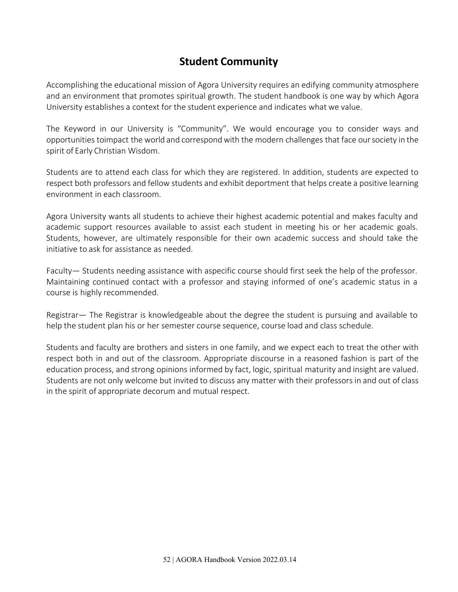# **Student Community**

<span id="page-51-0"></span>Accomplishing the educational mission of Agora University requires an edifying community atmosphere and an environment that promotes spiritual growth. The student handbook is one way by which Agora University establishes a context for the student experience and indicates what we value.

The Keyword in our University is "Community". We would encourage you to consider ways and opportunities toimpact the world and correspondwith the modern challenges that face oursociety in the spirit of Early Christian Wisdom.

Students are to attend each class for which they are registered. In addition, students are expected to respect both professors and fellow students and exhibit deportment that helps create a positive learning environment in each classroom.

Agora University wants all students to achieve their highest academic potential and makes faculty and academic support resources available to assist each student in meeting his or her academic goals. Students, however, are ultimately responsible for their own academic success and should take the initiative to ask for assistance as needed.

Faculty— Students needing assistance with aspecific course should first seek the help of the professor. Maintaining continued contact with a professor and staying informed of one's academic status in a course is highly recommended.

Registrar— The Registrar is knowledgeable about the degree the student is pursuing and available to help the student plan his or her semester course sequence, course load and class schedule.

Students and faculty are brothers and sisters in one family, and we expect each to treat the other with respect both in and out of the classroom. Appropriate discourse in a reasoned fashion is part of the education process, and strong opinions informed by fact, logic, spiritual maturity and insight are valued. Students are not only welcome but invited to discuss any matter with their professors in and out of class in the spirit of appropriate decorum and mutual respect.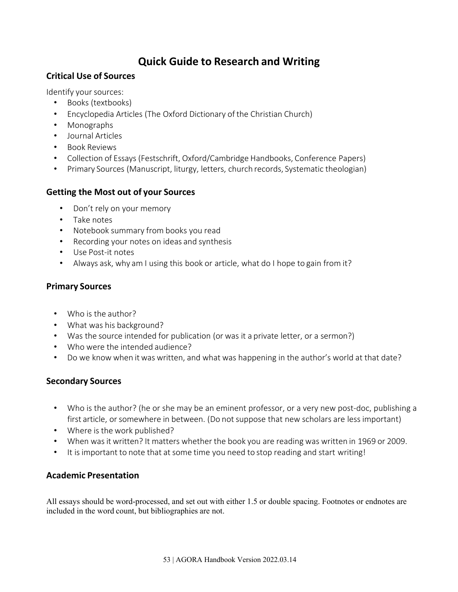# **Quick Guide to Research and Writing**

#### <span id="page-52-1"></span><span id="page-52-0"></span>**Critical Use of Sources**

Identify your sources:

- Books (textbooks)
- Encyclopedia Articles (The Oxford Dictionary of the Christian Church)
- Monographs
- Journal Articles
- Book Reviews
- Collection of Essays (Festschrift, Oxford/Cambridge Handbooks, Conference Papers)
- Primary Sources (Manuscript, liturgy, letters, church records, Systematic theologian)

#### <span id="page-52-2"></span>**Getting the Most out of your Sources**

- Don't rely on your memory
- Take notes
- Notebook summary from books you read
- Recording your notes on ideas and synthesis
- Use Post-it notes
- Always ask, why am I using this book or article, what do I hope to gain from it?

#### <span id="page-52-3"></span>**Primary Sources**

- Who is the author?
- What was his background?
- Was the source intended for publication (or was it a private letter, or a sermon?)
- Who were the intended audience?
- Do we know when it was written, and what was happening in the author's world at that date?

#### <span id="page-52-4"></span>**Secondary Sources**

- Who is the author? (he or she may be an eminent professor, or a very new post-doc, publishing a first article, or somewhere in between. (Do not suppose that new scholars are less important)
- Where is the work published?
- When wasit written? It matters whether the book you are reading was written in 1969 or 2009.
- It is important to note that at some time you need to stop reading and start writing!

#### <span id="page-52-5"></span>**Academic Presentation**

All essays should be word-processed, and set out with either 1.5 or double spacing. Footnotes or endnotes are included in the word count, but bibliographies are not.